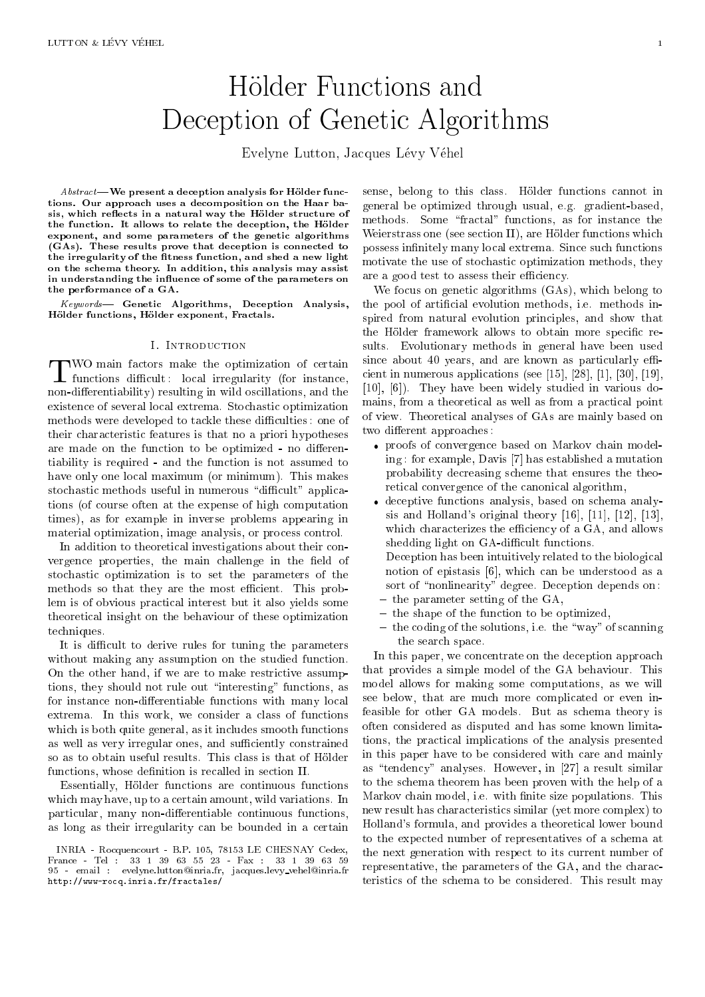# Holder Functions and Deception of Genetic Algorithms

Evelyne Lutton, Jacques Levy Vehel

 $\emph{Abstract}$  We present a deception analysis for Hölder functions. Our approach uses a decomposition on the Haar basis, which reflects in a natural way the Hölder structure of the function. It allows to relate the deception, the Hölder exponent, and some parameters of the genetic algorithms (GAs). These results prove that deception is connected to the irregularity of the fitness function, and shed a new light the irregularity of the tness function, and shed a new light on the schema theory. In addition, this analysis may assist in understanding the influence of some of the parameters on the performance of a GA.

Keywords| Genetic Algorithms, Deception Analysis, Hölder functions, Hölder exponent, Fractals.

### I. Introduction

 $\perp$  functions difficult : local irregularity (for instance, non-differentiability) resulting in wild oscillations, and the existence of several local extrema. Stochastic optimization methods were developed to tackle these difficulties: one of their characteristic features is that no a priori hypotheses are made on the function to be optimized - no differentiability is required - and the function is not assumed to have only one local maximum (or minimum). This makes stochastic methods useful in numerous "difficult" applications (of course often at the expense of high computation times), as for example in inverse problems appearing in material optimization, image analysis, or process control.

In addition to theoretical investigations about their convergence properties, the main challenge in the field of stochastic optimization is to set the parameters of the methods so that they are the most efficient. This problem is of obvious practical interest but it also yields some theoretical insight on the behaviour of these optimization techniques.

It is difficult to derive rules for tuning the parameters without making any assumption on the studied function. On the other hand, if we are to make restrictive assumptions, they should not rule out \interesting" functions, as for instance non-differentiable functions with many local extrema. In this work, we consider a class of functions which is both quite general, as it includes smooth functions as well as very irregular ones, and sufficiently constrained so as to obtain useful results. This class is that of Holder functions, whose definition is recalled in section II.

Essentially, Holder functions are continuous functions which may have, up to a certain amount, wild variations. In particular, many non-differentiable continuous functions, as long as their irregularity can be bounded in a certain sense, belong to this class. Hölder functions cannot in general be optimized through usual, e.g. gradient-based, methods. Some \fractal" functions, as for instance the Weierstrass one (see section II), are Hölder functions which possess infinitely many local extrema. Since such functions motivate the use of stochastic optimization methods, they are a good test to assess their efficiency.

We focus on genetic algorithms (GAs), which belong to the pool of artificial evolution methods, i.e. methods inspired from natural evolution principles, and show that the Hölder framework allows to obtain more specific results. Evolutionary methods in general have been used since about 40 years, and are known as particularly efficient in numerous applications (see [15], [28], [1], [30], [19], [10], [6]). They have been widely studied in various domains, from a theoretical as well as from a practical point of view. Theoretical analyses of GAs are mainly based on two different approaches:

- proofs of convergence based on Markov chain modeling : for example, Davis [7] has established a mutation probability decreasing scheme that ensures the theoretical convergence of the canonical algorithm,
- deceptive functions analysis, based on schema analysis and Holland's original theory [16], [11], [12], [13], which characterizes the efficiency of a GA, and allows shedding light on GA-difficult functions.

Deception has been intuitively related to the biological notion of epistasis [6], which can be understood as a sort of "nonlinearity" degree. Deception depends on:

- the parameter setting of the GA,
- the shape of the function to be optimized,  ${\bf -}$  the coding of the solutions, i.e. the "way" of scanning the search space.

In this paper, we concentrate on the deception approach that provides a simple model of the GA behaviour. This model allows for making some computations, as we will see below, that are much more complicated or even infeasible for other GA models. But as schema theory is often considered as disputed and has some known limitations, the practical implications of the analysis presented in this paper have to be considered with care and mainly as "tendency" analyses. However, in  $[27]$  a result similar to the schema theorem has been proven with the help of a Markov chain model, i.e. with finite size populations. This new result has characteristics similar (yet more complex) to Holland's formula, and provides a theoretical lower bound to the expected number of representatives of a schema at the next generation with respect to its current number of representative, the parameters of the GA, and the characteristics of the schema to be considered. This result may

INRIA - Rocquencourt - B.P. 105, 78153 LE CHESNAY Cedex, 95 - email : evelyne.lutton@inria.fr, jacques.levy vehel@inria.fr http://www-rocq.inria.fr/fractales/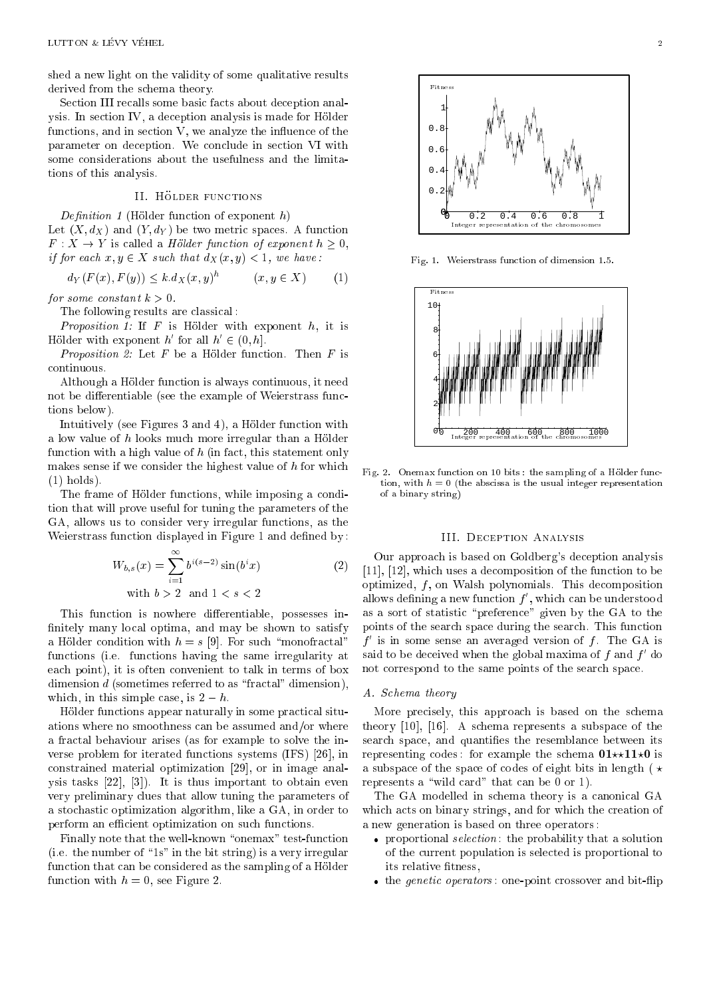shed a new light on the validity of some qualitative results derived from the schema theory.

Section III recalls some basic facts about deception analysis. In section IV, a deception analysis is made for Holder functions, and in section V, we analyze the influence of the parameter on deception. We conclude in section VI with some considerations about the usefulness and the limitations of this analysis.

# II. HÖLDER FUNCTIONS

Definition 1 (Hölder function of exponent  $h$ ) Let  $(X, d_X)$  and  $(Y, d_Y)$  be two metric spaces. A function  $F: X \to Y$  is called a Hölder function of exponent  $h \geq 0$ , if for each  $x, y \in X$  such that  $d_X(x, y) < 1$ , we have:

$$
d_Y(F(x), F(y)) \le k \cdot d_X(x, y)^h \qquad (x, y \in X) \qquad (1)
$$

for some constant  $k > 0$ .

The following results are classical :

Proposition 1: If  $F$  is Hölder with exponent  $h$ , it is Holder with exponent h for all  $h \in (0, h]$ .

*Proposition 2:* Let  $F$  be a Hölder function. Then  $F$  is continuous.

Although a Hölder function is always continuous, it need not be differentiable (see the example of Weierstrass functions below).

Intuitively (see Figures 3 and 4), a Holder function with a low value of  $h$  looks much more irregular than a Hölder function with a high value of  $h$  (in fact, this statement only makes sense if we consider the highest value of  $h$  for which (1) holds).

The frame of Hölder functions, while imposing a condition that will prove useful for tuning the parameters of the GA, allows us to consider very irregular functions, as the Weierstrass function displayed in Figure 1 and defined by:

$$
W_{b,s}(x) = \sum_{i=1}^{\infty} b^{i(s-2)} \sin(b^i x)
$$
  
with  $b > 2$  and  $1 < s < 2$  (2)

This function is nowhere differentiable, possesses infinitely many local optima, and may be shown to satisfy a Hölder condition with  $h = s$  [9]. For such "monofractal" functions (i.e. functions having the same irregularity at each point), it is often convenient to talk in terms of box dimension  $d$  (sometimes referred to as "fractal" dimension), which, in this simple case, is  $2 - h$ .

Hölder functions appear naturally in some practical situations where no smoothness can be assumed and/or where a fractal behaviour arises (as for example to solve the inverse problem for iterated functions systems (IFS) [26], in constrained material optimization [29], or in image analysis tasks [22], [3]). It is thus important to obtain even very preliminary clues that allow tuning the parameters of a stochastic optimization algorithm, like a GA, in order to perform an efficient optimization on such functions.

Finally note that the well-known "onemax" test-function (i.e. the number of " $1s$ " in the bit string) is a very irregular function that can be considered as the sampling of a Holder function with  $h = 0$ , see Figure 2.



Fig. 1. Weierstrass function of dimension 1.5.



Fig. 2. Onemax function on 10 bits : the sampling of a Holder function, with  $h = 0$  (the abscissa is the usual integer representation of a binary string)

#### III. Deception Analysis

Our approach is based on Goldberg's deception analysis [11], [12], which uses a decomposition of the function to be optimized,  $f$ , on Walsh polynomials. This decomposition ahows defining a new function  $f$  , which can be understood as a sort of statistic \preference" given by the GA to the points of the search space during the search. This function f is in some sense an averaged version of f. The GA is said to be deceived when the global maxima of  $\bar{f}$  and  $\bar{f}$  -do not correspond to the same points of the search space.

#### A. Schema theory

More precisely, this approach is based on the schema theory [10], [16]. A schema represents a subspace of the search space, and quantifies the resemblance between its representing codes: for example the schema  $01 \star \star 11 \star 0$  is a subspace of the space of codes of eight bits in length ( $\star$ represents a "wild card" that can be 0 or 1).

The GA modelled in schema theory is a canonical GA which acts on binary strings, and for which the creation of a new generation is based on three operators :

- proportional *selection*: the probability that a solution of the current population is selected is proportional to its relative fitness.
- the *genetic operators*: one-point crossover and bit-flip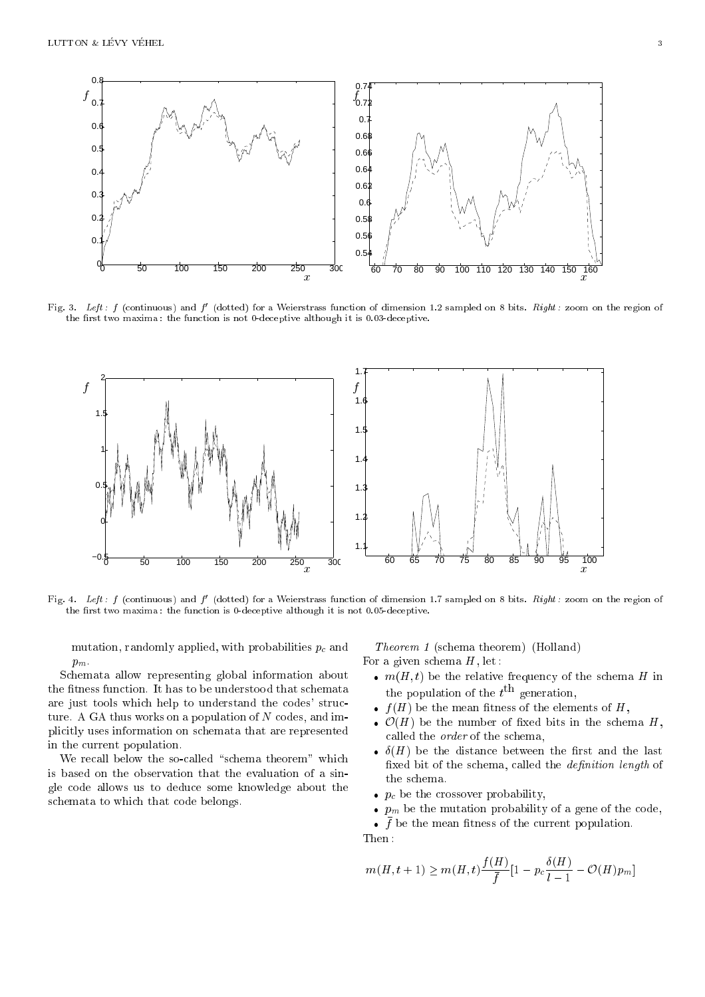

rig. 3. Left: f (continuous) and f (dotted) for a Weierstrass function of dimension 1.2 sampled on 8 bits. R*ight* : zoom on the region of the first two maxima: the function is not 0-deceptive although it is  $0.03$ -deceptive.



Fig. 4. Lejt: J (continuous) and J (dotted) for a Weierstrass function of dimension 1.7 sampled on 8 bits. *Right*: zoom on the region of the first two maxima: the function is 0-deceptive although it is not  $0.05$ -deceptive.

mutation, randomly applied, with probabilities  $p_c$  and  $p_m$ .

Schemata allow representing global information about the fitness function. It has to be understood that schemata are just tools which help to understand the codes' structure. A GA thus works on a population of  $N$  codes, and implicitly uses information on schemata that are represented in the current population.

We recall below the so-called "schema theorem" which is based on the observation that the evaluation of a single code allows us to deduce some knowledge about the schemata to which that code belongs.

Theorem 1 (schema theorem) (Holland) For a given schema  $H$ , let :

- $m(H, t)$  be the relative frequency of the schema H in the population of the  $t^{\scriptscriptstyle -\tau}$  generation,
- $\bullet$   $f(H)$  be the mean fitness of the elements of H,
- $\bullet$   $\mathcal{O}(H)$  be the number of fixed bits in the schema H, called the order of the schema,
- $\delta(H)$  be the distance between the first and the last fixed bit of the schema, called the *definition length* of the schema.
- $p_c$  be the crossover probability,
- $p_m$  be the mutation probability of a gene of the code,
- $\overline{f}$  be the mean fitness of the current population.

Then :

$$
m(H, t+1) \ge m(H, t) \frac{f(H)}{\bar{f}} \left[1 - p_c \frac{\delta(H)}{l-1} - \mathcal{O}(H)p_m\right]
$$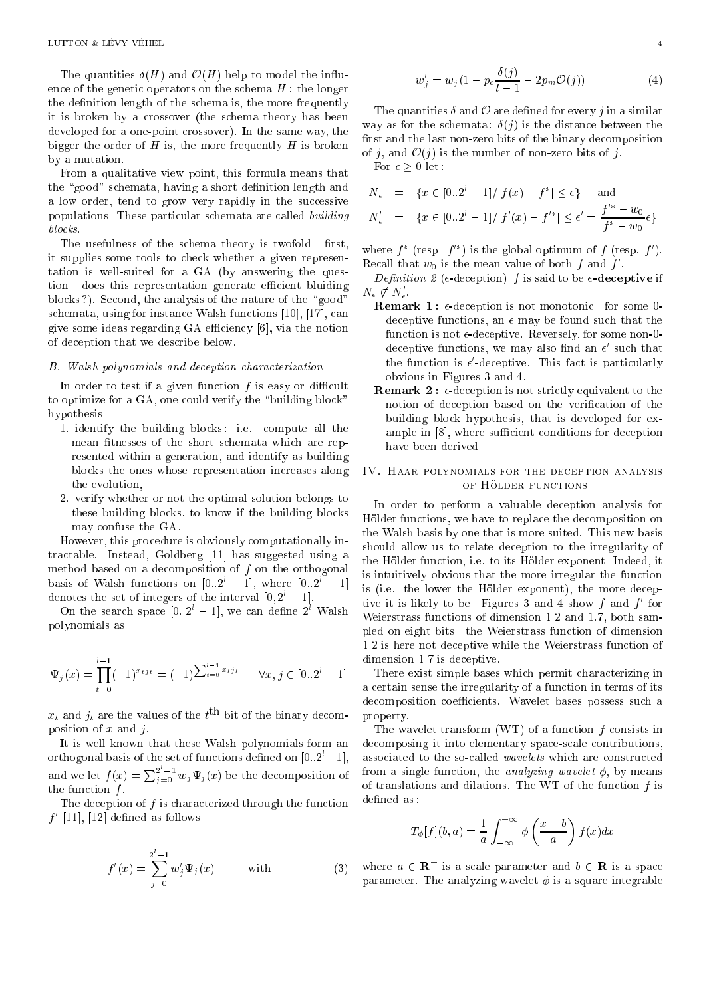The quantities  $\delta(H)$  and  $\mathcal{O}(H)$  help to model the influence of the genetic operators on the schema  $H$ : the longer the definition length of the schema is, the more frequently it is broken by a crossover (the schema theory has been developed for a one-point crossover). In the same way, the bigger the order of  $H$  is, the more frequently  $H$  is broken by a mutation.

From a qualitative view point, this formula means that the "good" schemata, having a short definition length and a low order, tend to grow very rapidly in the successive populations. These particular schemata are called building blocks.

The usefulness of the schema theory is twofold: first, it supplies some tools to check whether a given representation is well-suited for a GA (by answering the question: does this representation generate efficient bluiding blocks?). Second, the analysis of the nature of the "good" schemata, using for instance Walsh functions [10], [17], can give some ideas regarding  $GA$  efficiency  $[6]$ , via the notion of deception that we describe below.

#### B. Walsh polynomials and deception characterization

In order to test if a given function  $f$  is easy or difficult to optimize for a GA, one could verify the "building block" hypothesis:

- 1. identify the building blocks : i.e. compute all the mean fitnesses of the short schemata which are represented within a generation, and identify as building blocks the ones whose representation increases along the evolution,
- 2. verify whether or not the optimal solution belongs to these building blocks, to know if the building blocks may confuse the GA.

However, this procedure is obviously computationally intractable. Instead, Goldberg [11] has suggested using a method based on a decomposition of  $f$  on the orthogonal basis of Walsh functions on  $[0..2^l - 1]$ , where  $[0..2^l - 1]$ denotes the set of integers of the interval  $[0, 2<sup>l</sup> - 1]$ .

On the search space  $[0..2^l - 1]$ , we can define  $2^l$  Walsh polynomials as :

$$
\Psi_j(x) = \prod_{t=0}^{l-1} (-1)^{x_t j_t} = (-1)^{\sum_{t=0}^{l-1} x_t j_t} \quad \forall x, j \in [0..2^l - 1]
$$

 $x_t$  and  $y_t$  are the values of the  $t$  to bit of the binary decomposition of  $x$  and  $j$ .

It is well known that these Walsh polynomials form an orthogonal basis of the set of functions defined on  $[0..2] = 1$  , and we let  $f(x) = \sum_{i=0}^{2^{n}-1} w_i \Psi_i(x)$  be the decomposition of the function  $f$ .

The deception of  $f$  is characterized through the function  $\mu$  [11], [12] defined as follows :

$$
f'(x) = \sum_{j=0}^{2^{l}-1} w'_{j} \Psi_{j}(x) \quad \text{with} \quad (3)
$$

$$
w'_{j} = w_{j}(1 - p_{c} \frac{\delta(j)}{l-1} - 2p_{m} \mathcal{O}(j))
$$
 (4)

The quantities  $\delta$  and  $\mathcal O$  are defined for every j in a similar way as for the schemata:  $\delta(j)$  is the distance between the first and the last non-zero bits of the binary decomposition of j, and  $\mathcal{O}(j)$  is the number of non-zero bits of j.

For  $\epsilon \geq 0$  let :

$$
N_{\epsilon} = \{ x \in [0..2^{l} - 1] / |f(x) - f^{*}| \le \epsilon \} \text{ and}
$$
  
\n
$$
N'_{\epsilon} = \{ x \in [0..2^{l} - 1] / |f'(x) - f'^{*}| \le \epsilon' = \frac{f'^{*} - w_{0}}{f^{*} - w_{0}} \epsilon \}
$$

where  $f$  (resp.  $f \to \infty$  is the global optimum of  $f$  (resp.  $f \to \infty$ Recall that  $w_0$  is the mean value of both f and f.

Definition 2 (e-deception) f is said to be  $\epsilon$ -deceptive if  $N_{\epsilon} \varphi N_{\epsilon}$ .

- **Remark 1:**  $\epsilon$ -deception is not monotonic: for some 0deceptive functions, an  $\epsilon$  may be found such that the function is not  $\epsilon$ -deceptive. Reversely, for some non-0deceptive functions, we may also find an  $\epsilon$  -such that  $\frac{1}{100}$  the function is  $\epsilon$  -deceptive. This fact is particularly obvious in Figures 3 and 4.
- **Remark 2:**  $\epsilon$ -deception is not strictly equivalent to the notion of deception based on the verification of the building block hypothesis, that is developed for example in  $[8]$ , where sufficient conditions for deception have been derived.

# IV. Haar polynomials for the deception analysis OF HÖLDER FUNCTIONS

In order to perform a valuable deception analysis for Holder functions, we have to replace the decomposition on the Walsh basis by one that is more suited. This new basis should allow us to relate deception to the irregularity of the Holder function, i.e. to its Holder exponent. Indeed, it is intuitively obvious that the more irregular the function is (i.e. the lower the Holder exponent), the more deceptive it is likely to be. Figures  $\sigma$  and  $4$  show f and f for Weierstrass functions of dimension 1.2 and 1.7, both sampled on eight bits : the Weierstrass function of dimension 1.2 is here not deceptive while the Weierstrass function of dimension 1.7 is deceptive.

There exist simple bases which permit characterizing in a certain sense the irregularity of a function in terms of its decomposition coefficients. Wavelet bases possess such a property.

The wavelet transform  $(WT)$  of a function  $f$  consists in decomposing it into elementary space-scale contributions, associated to the so-called wavelets which are constructed from a single function, the *analyzing wavelet*  $\phi$ , by means of translations and dilations. The WT of the function  $f$  is defined as:

$$
T_{\phi}[f](b, a) = \frac{1}{a} \int_{-\infty}^{+\infty} \phi\left(\frac{x-b}{a}\right) f(x) dx
$$

where  $a \in \mathbf{R}$  is a scale parameter and  $b \in \mathbf{R}$  is a space parameter. The analyzing wavelet  $\phi$  is a square integrable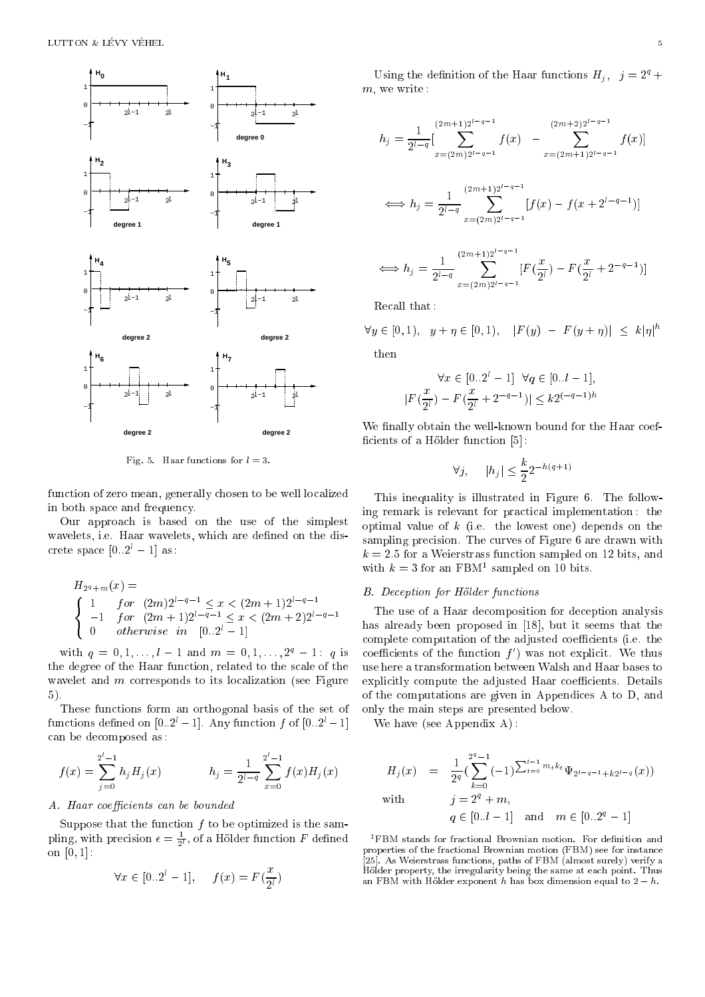

Fig. 5. Haar functions for  $l = 3$ .

function of zero mean, generally chosen to be well localized in both space and frequency.

Our approach is based on the use of the simplest wavelets, i.e. Haar wavelets, which are defined on the discrete space  $[0..2^l - 1]$  as :

$$
H_{2^q+m}(x) =
$$
  
\n
$$
\begin{cases}\n1 & \text{for } (2m)2^{l-q-1} \leq x < (2m+1)2^{l-q-1} \\
-1 & \text{for } (2m+1)2^{l-q-1} \leq x < (2m+2)2^{l-q-1} \\
0 & \text{otherwise} \quad in \quad [0..2^l-1]\n\end{cases}
$$

with  $q = 0, 1, \ldots, l - 1$  and  $m = 0, 1, \ldots, 2^q - 1$ : q is the degree of the Haar function, related to the scale of the wavelet and m corresponds to its localization (see Figure 5).

These functions form an orthogonal basis of the set of functions defined on  $[0..2^l-1]$ . Any function f of  $[0..2^l-1]$ can be decomposed as :

$$
f(x) = \sum_{j=0}^{2^{l}-1} h_j H_j(x) \qquad h_j = \frac{1}{2^{l-q}} \sum_{x=0}^{2^{l}-1} f(x) H_j(x)
$$

#### A. Haar coefficients can be bounded

Suppose that the function  $f$  to be optimized is the sampling, with precision  $\epsilon = \frac{1}{2^l}$ , or a Holder function F defined on  $[0, 1]$ :

$$
\forall x \in [0..2^l - 1], \quad f(x) = F(\frac{x}{2^l})
$$

Using the definition of the Haar functions  $H_j$ ,  $j = 2^q +$  $m$ , we write:

$$
h_j = \frac{1}{2^{l-q}} \Big[ \sum_{x=(2m)2^{l-q-1}}^{(2m+1)2^{l-q-1}} f(x) - \sum_{x=(2m+1)2^{l-q-1}}^{(2m+2)2^{l-q-1}} f(x) \Big]
$$

$$
\iff h_j = \frac{1}{2^{l-q}} \sum_{x=(2m)2^{l-q-1}}^{(2m+1)2^{l-q-1}} [f(x) - f(x+2^{l-q-1})]
$$

$$
\iff h_j = \frac{1}{2^{l-q}} \sum_{x=(2m)2^{l-q-1}}^{(2m+1)2^{l-q-1}} [F(\frac{x}{2^l}) - F(\frac{x}{2^l} + 2^{-q-1})]
$$

Recall that :

 $\nabla y \in [0, 1), \quad y + \eta \in [0, 1), \quad |F(y)| - |F(y + \eta)| \leq K|\eta|^{-1}$ then

$$
\forall x \in [0..2^{l} - 1] \ \forall q \in [0..l - 1],
$$
  

$$
|F(\frac{x}{2^{l}}) - F(\frac{x}{2^{l}} + 2^{-q-1})| \le k2^{(-q-1)h}
$$

We finally obtain the well-known bound for the Haar coefficients of a Hölder function [5]:

$$
\forall j,\quad \ |h_j|\leq \frac{k}{2}2^{-h\left(q+1\right)}
$$

This inequality is illustrated in Figure 6. The following remark is relevant for practical implementation : the optimal value of  $k$  (i.e. the lowest one) depends on the sampling precision. The curves of Figure 6 are drawn with  $k = 2.5$  for a Weierstrass function sampled on 12 bits, and with  $\kappa = 3$  for an FDM<sup>-</sup> sampled on 10 bits.

# B. Deception for Holder functions

The use of a Haar decomposition for deception analysis has already been proposed in [18], but it seems that the complete computation of the adjusted coefficients (i.e. the coemcients of the function ( ) was not explicit. We thus use here a transformation between Walsh and Haar bases to explicitly compute the adjusted Haar coefficients. Details of the computations are given in Appendices A to D, and only the main steps are presented below.

We have (see Appendix A) :

$$
H_j(x) = \frac{1}{2^q} \left( \sum_{k=0}^{2^q - 1} (-1) \sum_{t=0}^{l-1} m_t k_t \Psi_{2^{l-q-1}+k2^{l-q}}(x) \right)
$$
  
with 
$$
j = 2^q + m,
$$

$$
q \in [0..l-1] \text{ and } m \in [0..2^q - 1]
$$

<sup>1</sup> FBM stands for fractional Brownian motion. For denition and properties of the fractional Brownian motion (FBM) see for instance [25]. As Weierstrass functions, paths of FBM (almost surely) verify a Hölder property, the irregularity being the same at each point. Thus an FBM with Hölder exponent h has box dimension equal to  $2 - h$ .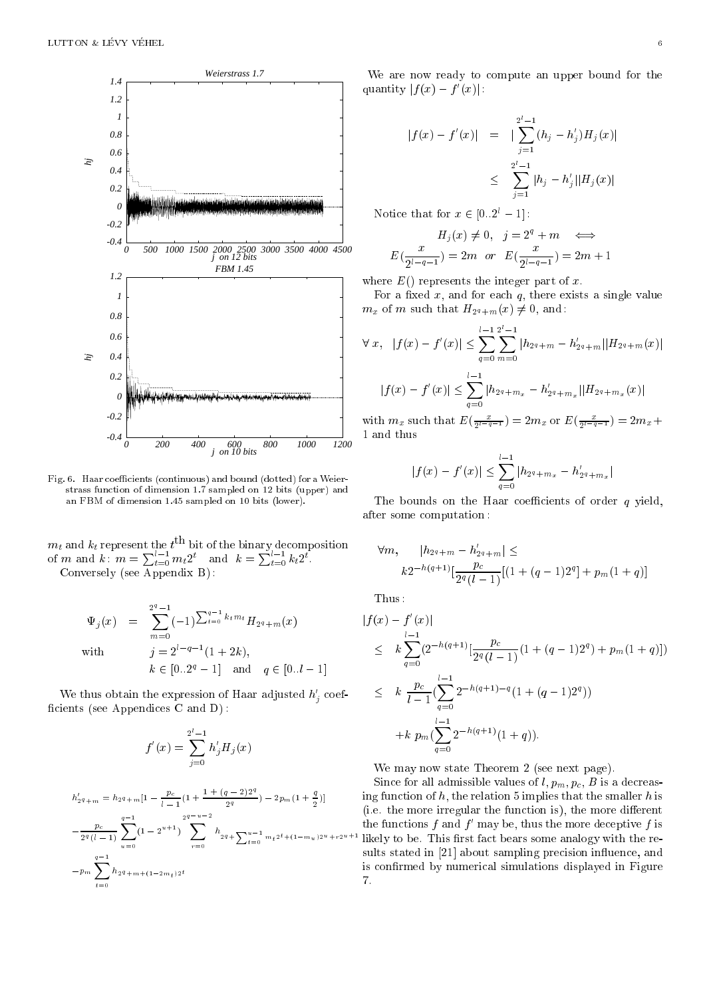

Fig. 6. Haar coefficients (continuous) and bound (dotted) for a Weierstrass function of dimension 1.7 sampled on 12 bits (upper) and an FBM of dimension 1.45 sampled on 10 bits (lower).

 $m_t$  and  $k_t$  represent the  $t^{t-1}$  of the binary decomposition<br>of m and  $k$ :  $m = \sum_{t=0}^{t-1} m_t 2^t$  and  $k = \sum_{t=0}^{t-1} k_t 2^t$ .  $\sim$  conversely (see Appendix B):

$$
\Psi_j(x) = \sum_{m=0}^{2^q-1} (-1)^{\sum_{t=0}^{q-1} k_t m_t} H_{2^q+m}(x)
$$
  
with 
$$
j = 2^{l-q-1} (1+2k),
$$

$$
k \in [0..2^q-1] \text{ and } q \in [0..l-1]
$$

we thus obtain the expression of Haar adjusted  $n_j$  coefficients (see Appendices C and D):

$$
f'(x) = \sum_{j=0}^{2^l - 1} h'_j H_j(x)
$$
  
\n
$$
h'_{2^q + m} = h_{2^q + m} [1 - \frac{p_c}{l - 1} (1 + \frac{1 + (q - 2)2^q}{2^q}) - 2p_m (1 + \frac{q}{2})]
$$
  
\n
$$
-\frac{p_c}{2^q (l - 1)} \sum_{u=0}^{q-1} (1 - 2^{u+1}) \sum_{r=0}^{2^{q-u-2}} h_{2^q + \sum_{t=0}^{u-1} m_t 2^t + (1 - m_u)2^u + r2^{u+1}}
$$
  
\n
$$
-p_m \sum_{t=0}^{q-1} h_{2^q + m + (1 - 2m_t)2^t}
$$

We are now ready to compute an upper bound for the quantity  $|f(x) - f(x)|$ :

$$
|f(x) - f'(x)| = |\sum_{j=1}^{2^{l}-1} (h_j - h'_j) H_j(x)|
$$
  

$$
\leq \sum_{j=1}^{2^{l}-1} |h_j - h'_j| |H_j(x)|
$$

Notice that for  $x \in [0..2^l - 1]$ :

$$
H_j(x) \neq 0, \quad j = 2^q + m \quad \Longleftrightarrow
$$
  

$$
E\left(\frac{x}{2^{l-q-1}}\right) = 2m \quad or \quad E\left(\frac{x}{2^{l-q-1}}\right) = 2m + 1
$$

where  $E()$  represents the integer part of x.

For a fixed  $x$ , and for each  $q$ , there exists a single value  $m_x$  of m such that  $H_{2q+m}(x) \neq 0$ , and:

$$
\forall x, \quad |f(x) - f'(x)| \leq \sum_{q=0}^{l-1} \sum_{m=0}^{2^l - 1} |h_{2^q + m} - h'_{2^q + m}| |H_{2^q + m}(x)|
$$

$$
|f(x) - f'(x)| \leq \sum_{q=0}^{l-1} |h_{2^q + m_x} - h'_{2^q + m_x}| |H_{2^q + m_x}(x)|
$$

with  $m_x$  such that  $E(\frac{1}{2^{l-q-1}}) = 2m_x$  or  $E(\frac{1}{2^{l-q-1}}) = 2m_x +$ 1 and thus

$$
|f(x) - f'(x)| \le \sum_{q=0}^{l-1} |h_{2^q + m_x} - h'_{2^q + m_x}|
$$

The bounds on the Haar coefficients of order  $q$  yield, after some computation :

$$
\forall m, \quad |h_{2^q+m} - h'_{2^q+m}| \leq
$$
  

$$
k2^{-h(q+1)} \left[\frac{p_c}{2^q(l-1)}[(1+(q-1)2^q] + p_m(1+q)]\right]
$$

Thus :

$$
|f(x) - f'(x)|
$$
  
\n
$$
\leq k \sum_{q=0}^{l-1} (2^{-h(q+1)} \left[ \frac{p_c}{2^q (l-1)} (1 + (q-1)2^q) + p_m (1+q) \right])
$$
  
\n
$$
\leq k \frac{p_c}{l-1} (\sum_{q=0}^{l-1} 2^{-h(q+1)-q} (1 + (q-1)2^q))
$$
  
\n
$$
+ k p_m (\sum_{q=0}^{l-1} 2^{-h(q+1)} (1+q)).
$$

We may now state Theorem 2 (see next page).

Since for all admissible values of  $l, p_m, p_c, B$  is a decreasing function of  $h$ , the relation 5 implies that the smaller  $h$  is  $(i.e. the more irregular the function is), the more different$ the functions  $f$  and  $f'$  may be, thus the more deceptive  $f$  is  $1$  likely to be. This first fact bears some analogy with the results stated in [21] about sampling precision influence, and is confirmed by numerical simulations displayed in Figure 7.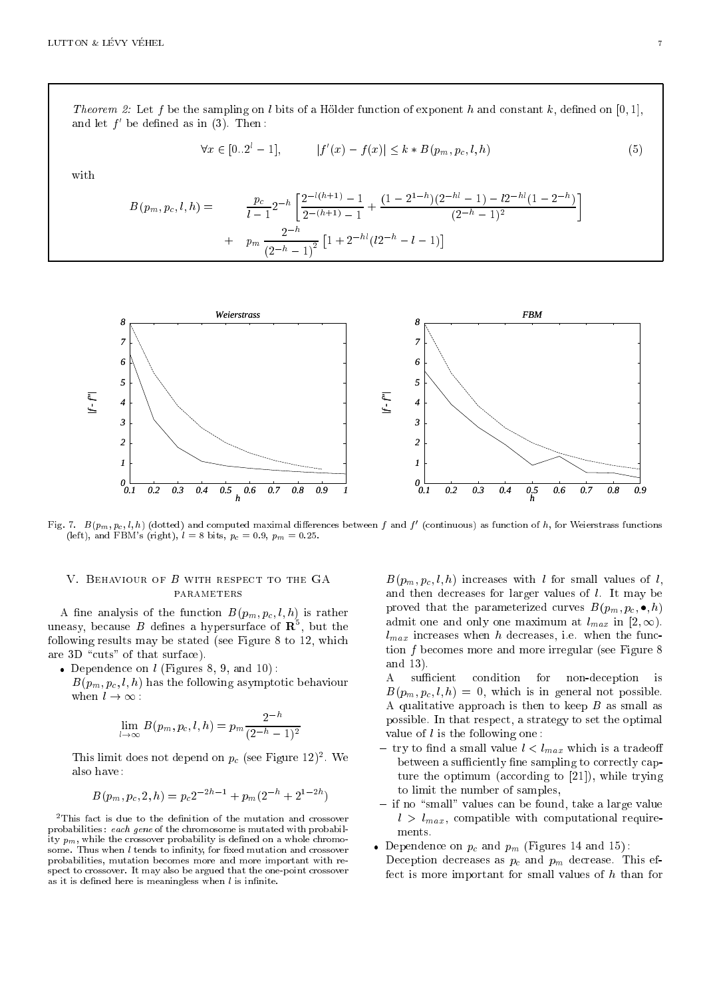Theorem 2: Let f be the sampling on l bits of a Hölder function of exponent h and constant k, defined on [0, 1], and let <sup>f</sup> <sup>0</sup> be dened as in (3). Then :

$$
\forall x \in [0..2^l - 1], \qquad |f'(x) - f(x)| \le k * B(p_m, p_c, l, h) \tag{5}
$$

with

$$
B(p_m, p_c, l, h) = \frac{p_c}{l-1} 2^{-h} \left[ \frac{2^{-l(h+1)} - 1}{2^{-(h+1)} - 1} + \frac{(1 - 2^{1-h})(2^{-hl} - 1) - l2^{-hl}(1 - 2^{-h})}{(2^{-h} - 1)^2} \right]
$$
  
+ 
$$
p_m \frac{2^{-h}}{(2^{-h} - 1)^2} \left[ 1 + 2^{-hl}(l2^{-h} - l - 1) \right]
$$



Fig. 7.  $B(p_m, p_c, l, n)$  (dotted) and computed maximal differences between f and f (continuous) as function of  $n$ , for Weierstrass functions (left), and FBM's (right),  $l = 8$  bits,  $p_c = 0.9$ ,  $p_m = 0.25$ .

# V. Behaviour of <sup>B</sup> with respect to the GA **PARAMETERS**

A fine analysis of the function  $B(p_m, p_c, l, h)$  is rather uneasy, because  $B$  dennes a hypersurface of  $\mathbf{R}^{\ast}$ , but the following results may be stated (see Figure 8 to 12, which are 3D "cuts" of that surface).

- Dependence on  $l$  (Figures 8, 9, and 10):
	- $B(p_m, p_c, l, h)$  has the following asymptotic behaviour when  $l \to \infty$ :

$$
\lim_{l \to \infty} B(p_m, p_c, l, h) = p_m \frac{2^{-h}}{(2^{-h} - 1)^2}
$$

I has minut does not depend on  $p_c$  (see Figure 12). We also have :

$$
B(p_m, p_c, 2, h) = p_c 2^{-2h - 1} + p_m (2^{-h} + 2^{1-2h})
$$

 $2$ This fact is due to the definition of the mutation and crossover probabilities : each gene of the chromosome is mutated with probability  $p_m$ , while the crossover probability is defined on a whole chromosome. Thus when  $l$  tends to infinity, for fixed mutation and crossover probabilities, mutation becomes more and more important with respect to crossover. It may also be argued that the one-point crossover as it is defined here is meaningless when  $l$  is infinite.

 $B(p_m, p_c, l, h)$  increases with l for small values of l, and then decreases for larger values of l. It may be proved that the parameterized curves  $B(p_m, p_c, \bullet, h)$ admit one and only one maximum at  $l_{max}$  in [2,  $\infty$ ).  $l_{max}$  increases when h decreases, i.e. when the function <sup>f</sup> becomes more and more irregular (see Figure 8 and 13).

- A sufficient condition for non-deception is  $B(p_m, p_c, l, h) = 0$ , which is in general not possible. A qualitative approach is then to keep  $B$  as small as possible. In that respect, a strategy to set the optimal value of  $l$  is the following one:
- try to find a small value  $l < l_{max}$  which is a tradeoff between a sufficiently fine sampling to correctly capture the optimum (according to [21]), while trying to limit the number of samples,
- $=$  if no "small" values can be found, take a large value  $l > l_{max}$ , compatible with computational requirements.
- Dependence on  $p_c$  and  $p_m$  (Figures 14 and 15):
- Deception decreases as  $p_c$  and  $p_m$  decrease. This effect is more important for small values of  $h$  than for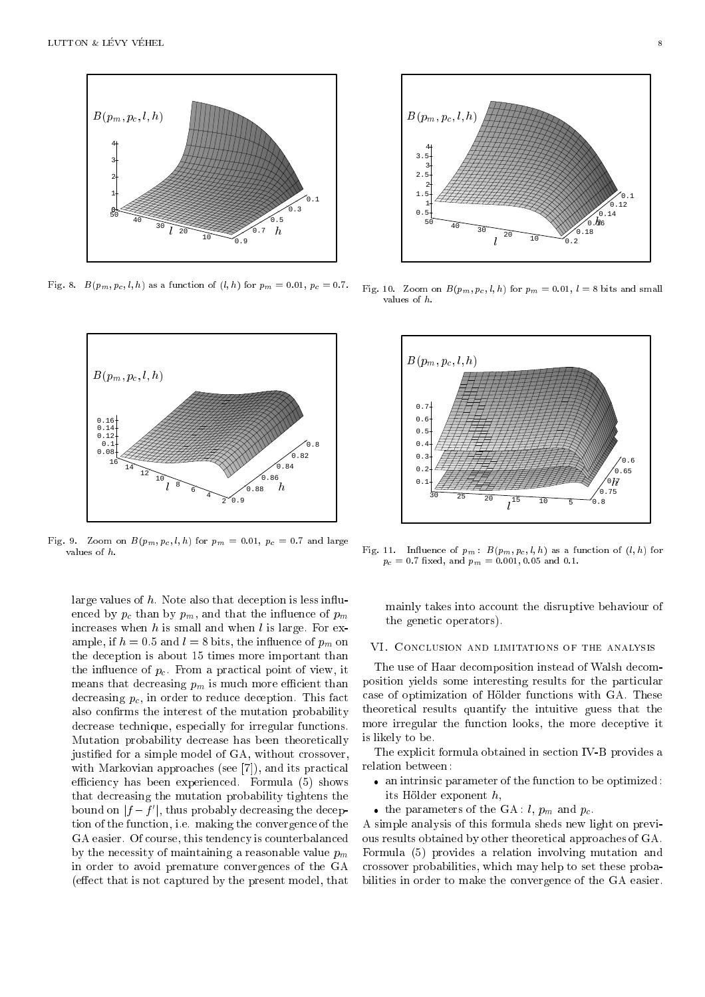

Fig. 8.  $B(p_m, p_c, l, h)$  as a function of  $(l, h)$  for  $p_m = 0.01$ ,  $p_c = 0.7$ .



Fig. 9. Zoom on  $B(p_m, p_c, l, h)$  for  $p_m = 0.01$ ,  $p_c = 0.7$  and large values of  $h$ 

large values of  $h$ . Note also that deception is less influenced by  $p_c$  than by  $p_m$ , and that the influence of  $p_m$ increases when  $h$  is small and when  $l$  is large. For example, if  $h = 0.5$  and  $l = 8$  bits, the influence of  $p_m$  on the deception is about 15 times more important than the influence of  $p_c$ . From a practical point of view, it means that decreasing  $p_m$  is much more efficient than decreasing  $p_c$ , in order to reduce deception. This fact also confirms the interest of the mutation probability decrease technique, especially for irregular functions. Mutation probability decrease has been theoretically justied for a simple model of GA, without crossover, with Markovian approaches (see [7]), and its practical efficiency has been experienced. Formula (5) shows that decreasing the mutation probability tightens the bound on  $|I - I|$ , thus probably decreasing the deception of the function, i.e. making the convergence of the GA easier. Of course, this tendency is counterbalanced by the necessity of maintaining a reasonable value  $p_m$ in order to avoid premature convergences of the GA (effect that is not captured by the present model, that



Fig. 10. Zoom on  $B(p_m, p_c, l, h)$  for  $p_m = 0.01$ ,  $l = 8$  bits and small values of  $h$ 



Fig. 11. Influence of  $p_m: B(p_m, p_c, l, h)$  as a function of  $(l, h)$  for  $p_c = 0.7$  fixed, and  $p_m = 0.001, 0.05$  and 0.1.

mainly takes into account the disruptive behaviour of the genetic operators).

#### VI. Conclusion and limitations of the analysis

The use of Haar decomposition instead of Walsh decomposition yields some interesting results for the particular case of optimization of Holder functions with GA. These theoretical results quantify the intuitive guess that the more irregular the function looks, the more deceptive it is likely to be.

The explicit formula obtained in section IV-B provides a relation between :

- an intrinsic parameter of the function to be optimized : its Hölder exponent  $h$ ,
- the parameters of the GA : l,  $p_m$  and  $p_c$ .

A simple analysis of this formula sheds new light on previous results obtained by other theoretical approaches of GA. Formula (5) provides a relation involving mutation and crossover probabilities, which may help to set these probabilities in order to make the convergence of the GA easier.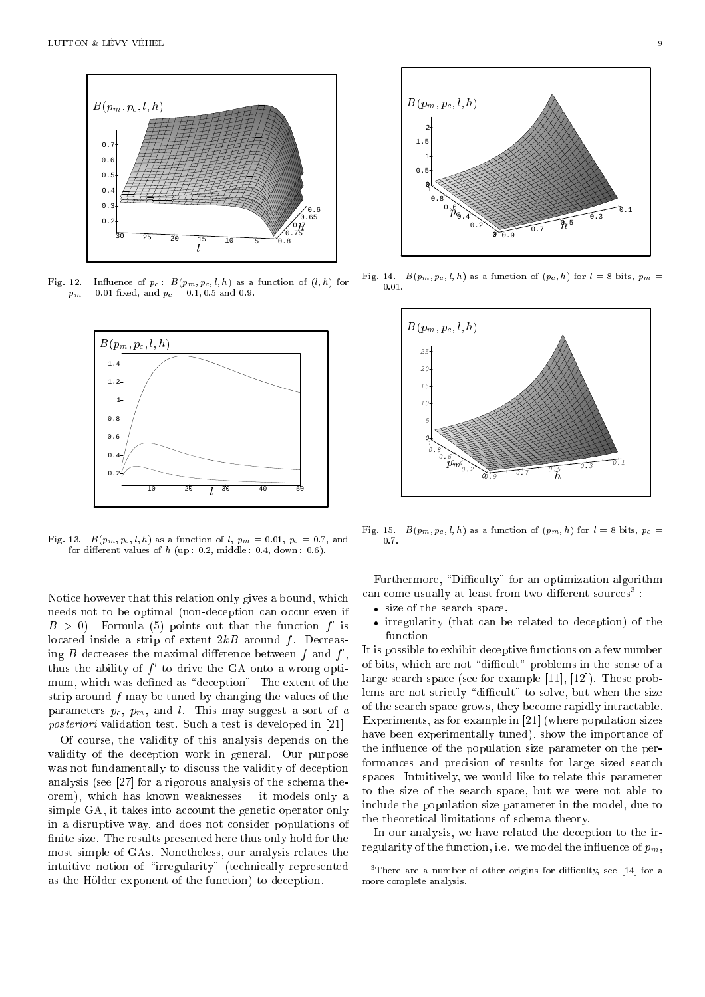

Fig. 12. Influence of  $p_c$ :  $B(p_m, p_c, l, h)$  as a function of  $(l, h)$  for  $p_m = 0.01$  fixed, and  $p_c = 0.1, 0.5$  and 0.9.



Fig. 13.  $B(p_m, p_c, l, h)$  as a function of l,  $p_m = 0.01$ ,  $p_c = 0.7$ , and for different values of  $h$  (up: 0.2, middle: 0.4, down: 0.6).

Notice however that this relation only gives a bound, which needs not to be optimal (non-deception can occur even if  $D > 0$ ). Formula (5) points out that the function f is located inside a strip of extent  $2kB$  around f. Decreas- $\lim_{B \to \infty} B$  decreases the maximal difference between f and f, thus the ability of f to drive the GA onto a wrong optimum, which was defined as "deception". The extent of the strip around <sup>f</sup> may be tuned by changing the values of the parameters  $p_c$ ,  $p_m$ , and l. This may suggest a sort of a posteriori validation test. Such a test is developed in [21].

Of course, the validity of this analysis depends on the validity of the deception work in general. Our purpose was not fundamentally to discuss the validity of deception analysis (see [27] for a rigorous analysis of the schema theorem), which has known weaknesses : it models only a simple GA, it takes into account the genetic operator only in a disruptive way, and does not consider populations of finite size. The results presented here thus only hold for the most simple of GAs. Nonetheless, our analysis relates the intuitive notion of "irregularity" (technically represented as the Holder exponent of the function) to deception.



Fig. 14.  $B(p_m, p_c, l, h)$  as a function of  $(p_c, h)$  for  $l = 8$  bits,  $p_m =$  $0.01$ 0:01.



Fig. 15.  $B(p_m, p_c, l, h)$  as a function of  $(p_m, h)$  for  $l = 8$  bits,  $p_c =$ 0:7.

Furthermore, "Difficulty" for an optimization algorithm can come usually at least from two different sources :

- size of the search space,
- irregularity (that can be related to deception) of the function.

It is possible to exhibit deceptive functions on a few number of bits, which are not "difficult" problems in the sense of a large search space (see for example [11], [12]). These problems are not strictly "difficult" to solve, but when the size of the search space grows, they become rapidly intractable. Experiments, as for example in [21] (where population sizes have been experimentally tuned), show the importance of the influence of the population size parameter on the performances and precision of results for large sized search spaces. Intuitively, we would like to relate this parameter to the size of the search space, but we were not able to include the population size parameter in the model, due to the theoretical limitations of schema theory.

In our analysis, we have related the deception to the irregularity of the function, i.e. we model the influence of  $p_m$ ,

 $3$ There are a number of other origins for difficulty, see [14] for a more complete analysis.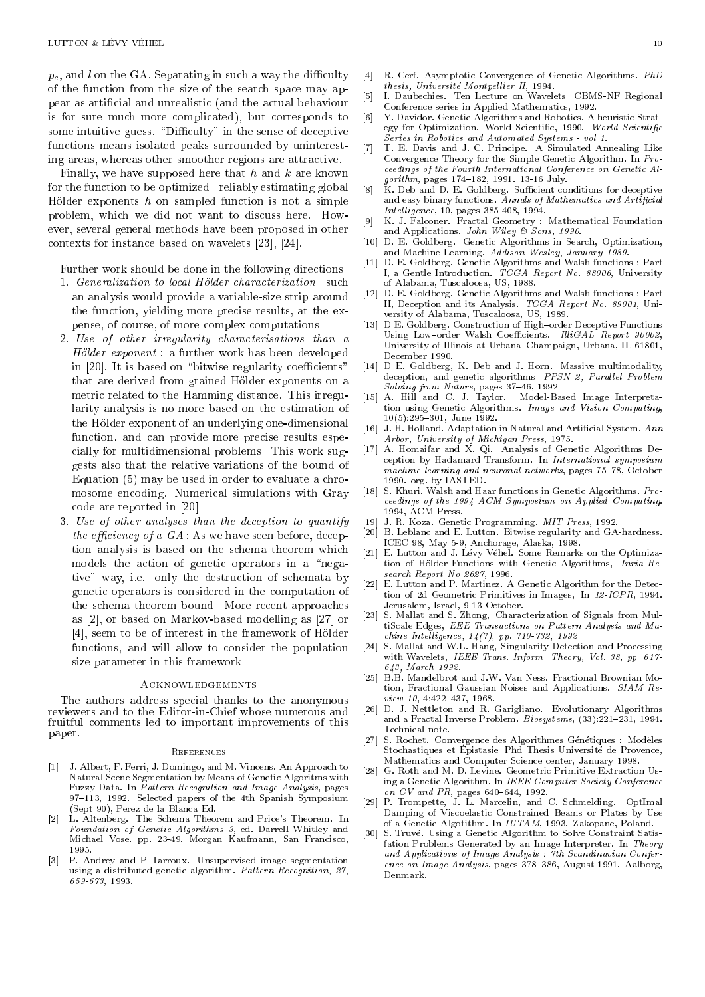$p_c$ , and l on the GA. Separating in such a way the difficulty of the function from the size of the search space may appear as articial and unrealistic (and the actual behaviour is for sure much more complicated), but corresponds to some intuitive guess. "Difficulty" in the sense of deceptive functions means isolated peaks surrounded by uninteresting areas, whereas other smoother regions are attractive.

Finally, we have supposed here that  $h$  and  $k$  are known for the function to be optimized : reliably estimating global Hölder exponents  $h$  on sampled function is not a simple problem, which we did not want to discuss here. However, several general methods have been proposed in other contexts for instance based on wavelets [23], [24].

- Further work should be done in the following directions :
- 1. Generalization to local Hölder characterization: such an analysis would provide a variable-size strip around the function, yielding more precise results, at the expense, of course, of more complex computations.
- 2. Use of other irregularity characterisations than a Hölder exponent : a further work has been developed in  $[20]$ . It is based on "bitwise regularity coefficients" that are derived from grained Hölder exponents on a metric related to the Hamming distance. This irregularity analysis is no more based on the estimation of the Hölder exponent of an underlying one-dimensional function, and can provide more precise results especially for multidimensional problems. This work suggests also that the relative variations of the bound of Equation (5) may be used in order to evaluate a chromosome encoding. Numerical simulations with Gray code are reported in [20].
- 3. Use of other analyses than the deception to quantify the efficiency of a  $GA$ : As we have seen before, deception analysis is based on the schema theorem which models the action of genetic operators in a "negative" way, i.e. only the destruction of schemata by genetic operators is considered in the computation of the schema theorem bound. More recent approaches as [2], or based on Markov-based modelling as [27] or [4], seem to be of interest in the framework of Holder functions, and will allow to consider the population size parameter in this framework.

#### Acknowledgements

The authors address special thanks to the anonymous reviewers and to the Editor-in-Chief whose numerous and fruitful comments led to important improvements of this paper.

- [1] J. Albert, F. Ferri, J. Domingo, and M. Vincens. An Approach to Natural Scene Segmentation by Means of Genetic Algoritms with Fuzzy Data. In Pattern Recognition and Image Analysis, pages 97-113, 1992. Selected papers of the 4th Spanish Symposium (Sept 90), Perez de la Blanca Ed.
- [2] L. Altenberg. The Schema Theorem and Price's Theorem. In Foundation of Genetic Algorithms 3, ed. Darrell Whitley and Michael Vose. pp. 23-49. Morgan Kaufmann, San Francisco,
- [3] P. Andrey and P Tarroux. Unsupervised image segmentation using a distributed genetic algorithm. Pattern Recognition, 27, 659-673, 1993.
- R. Cerf. Asymptotic Convergence of Genetic Algorithms. PhD  $thesis,$  Université Montpellier II, 1994.
- [5] I. Daubechies. Ten Lecture on Wavelets CBMS-NF Regional Conference series in Applied Mathematics, 1992.
- [6] Y. Davidor. Genetic Algorithms and Robotics. A heuristic Strategy for Optimization. World Scientific, 1990. World Scientific Series in Robotics and Automated Systems - vol 1.
- [7] T. E. Davis and J. C. Principe. A Simulated Annealing Like Convergence Theory for the Simple Genetic Algorithm. In Proceedings of the Fourth International Conference on Genetic Al $scriptm$ , pages 174-182, 1991. 13-16 July.
- $[8]$  K. Deb and D. E. Goldberg. Sufficient conditions for deceptive and easy binary functions. Annals of Mathematics and Artificial and easy binary functions. Annals of Mathematics and Articial  $Intellig \, enc, \ 10, \ \text{pages} \ 385\text{-}408, \ 1994.$
- [9] K. J. Falconer. Fractal Geometry : Mathematical Foundation and Applications. John Wiley & Sons, 1990.
- [10] D. E. Goldberg. Genetic Algorithms in Search, Optimization, and Machine Learning. Addison-Wesley, January 1989.
- [11] D. E. Goldberg. Genetic Algorithms and Walsh functions : Part I, a Gentle Introduction. TCGA Report No. 88006, University of Alabama, Tuscaloosa, US, 1988.
- [12] D. E. Goldberg. Genetic Algorithms and Walsh functions : Part II, Deception and its Analysis. TCGA Report No. 89001, University of Alabama, Tuscaloosa, US, 1989.
- [13] D E. Goldberg. Construction of High-order Deceptive Functions Using Low-order Walsh Coefficients. IlliGAL Report 90002, University of Illinois at Urbana-Champaign, Urbana, IL 61801, December 1990.
- [14] D E. Goldberg, K. Deb and J. Horn. Massive multimodality, deception, and genetic algorithms PPSN 2, Parallel Problem Solving from Nature, pages 37{46, 1992
- [15] A. Hill and C. J. Taylor. Model-Based Image Interpretation using Genetic Algorithms. Image and Vision Computing,  $10(5):295{-}301$ , June 1992.
- [16] J. H. Holland. Adaptation in Natural and Artificial System. Ann Arbor, University of Michigan Press, 1975.
- $\blacksquare$  and  $\blacksquare$ ception by Hadamard Transform. In International symposium machine learning and neuronal networks, pages 75-78, October 1990. org. by IASTED.
- [18] S. Khuri. Walsh and Haar functions in Genetic Algorithms. Proceedings of the 1994 ACM Symposium on Applied Computing. 1994, ACM Press.
- J. R. Koza. Genetic Programming. MIT Press, 1992.
- [20] B. Leblanc and E. Lutton. Bitwise regularity and GA-hardness. ICEC 98, May 5-9, Anchorage, Alaska, 1998.
- [21] E. Lutton and J. Lévy Véhel. Some Remarks on the Optimization of Holder Functions with Genetic Algorithms, Inria Research Report No 2627, 1996.
- E. Lutton and P. Martinez. A Genetic Algorithm for the Detection of 2d Geometric Primitives in Images, In 12-ICPR, 1994. Jerusalem, Israel, 9-13 October.
- [23] S. Mallat and S. Zhong, Characterization of Signals from MultiScale Edges, EEE Transactions on Pattern Analysis and Ma $chine$  Intelligence,  $14(7)$ , pp.  $710-732$ , 1992
- [24] S. Mallat and W.L. Hang, Singularity Detection and Processing with Wavelets, IEEE Trans. Inform. Theory, Vol. 38, pp. 617-643, March 1992.
- [25] B.B. Mandelbrot and J.W. Van Ness. Fractional Brownian Motion, Fractional Gaussian Noises and Applications. SIAM Re $view\ 10, \ 4:422{-}437, \ 1968.$
- [26] D. J. Nettleton and R. Garigliano. Evolutionary Algorithms and a Fractal Inverse Problem. Biosystems, (33):221-231, 1994. Technical note.
- [27] S. Rochet. Convergence des Algorithmes Génétiques : Modèles Stochastiques et Épistasie Phd Thesis Université de Provence, Mathematics and Computer Science center, January 1998.
- [28] G. Roth and M. D. Levine. Geometric Primitive Extraction Using a Genetic Algorithm. In IEEE Computer Society Conference on CV and PR, pages 640{64},  $\mathbf{F}$  and  $\mathbf{F}$
- $[29]$ [29] P. Trompette, J. L. Marcelin, and C. Schmelding. OptImal Damping of Viscoelastic Constrained Beams or Plates by Use of a Genetic Algotithm. In IUTAM, 1993. Zakopane, Poland.
- [30] S. Truvé. Using a Genetic Algorithm to Solve Constraint Satisfation Problems Generated by an Image Interpreter. In Theory and Applications of Image Analysis : 7th Scandinavian Conference on Image Analysis, pages  $378-386$ , August 1991. Aalborg, Denmark.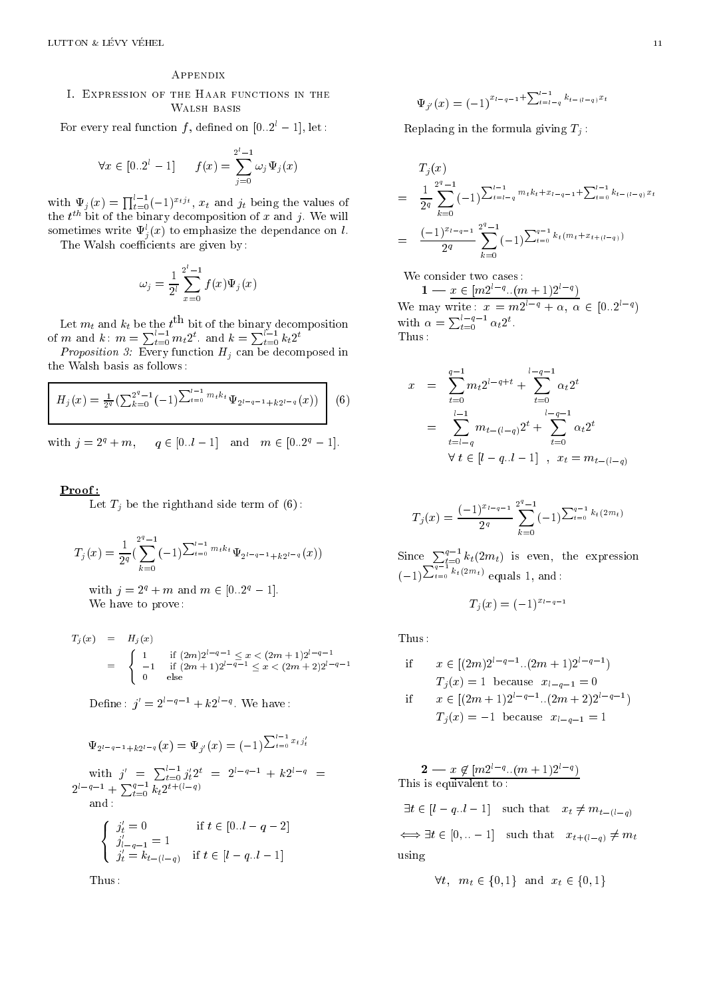## Appendix

# I. Expression of the Haar functions in the Walsh basis

For every real function f, defined on  $[0..2^l-1]$ , let:

$$
\forall x \in [0..2^{l} - 1] \qquad f(x) = \sum_{j=0}^{2^{l} - 1} \omega_j \Psi_j(x)
$$

with  $\Psi_j(x) = \prod_{t=0}^{i-1} (-1)^{x_t} j_t$ ,  $x_t$  and  $j_t$  being the values of the  $t^{\cdots}$  bit of the binary decomposition of x and  $\jmath$  we will sometimes write  $\Psi_i^*(x)$  to emphasize the dependance on  $\iota$ .

The Walsh coefficients are given by :

$$
\omega_j = \frac{1}{2^l} \sum_{x=0}^{2^l-1} f(x) \Psi_j(x)
$$

Let  $m_t$  and  $k_t$  be the  $t^{t-1}$  bit of the binary decomposition<br>of m and  $k$ :  $m = \sum_{t=0}^{t-1} m_t 2^t$ . and  $k = \sum_{t=0}^{t-1} k_t 2^t$ 

Proposition 3: Every function Hj can be decomposed in the Walsh basis as follows :

$$
H_j(x) = \frac{1}{2^q} \left( \sum_{k=0}^{2^q-1} (-1)^{\sum_{t=0}^{l-1} m_t k_t} \Psi_{2^{l-q-1}+k2^{l-q}}(x) \right)
$$
 (6)

with  $j = 2^q + m$ ,  $q \in [0..l - 1]$  and  $m \in [0..2^q - 1]$ .

#### Proof :

Let  $T_i$  be the righthand side term of  $(6)$ :

$$
T_j(x) = \frac{1}{2^q} \left( \sum_{k=0}^{2^q-1} (-1)^{\sum_{t=0}^{l-1} m_t k_t} \Psi_{2^{l-q-1}+k2^{l-q}}(x) \right)
$$

with  $j = 2^q + m$  and  $m \in [0..2^q - 1]$ . We have to prove :

$$
T_j(x) = H_j(x)
$$
  
= 
$$
\begin{cases} 1 & \text{if } (2m)2^{l-q-1} \leq x < (2m+1)2^{l-q-1} \\ -1 & \text{if } (2m+1)2^{l-q-1} \leq x < (2m+2)2^{l-q-1} \\ 0 & \text{else} \end{cases}
$$

Denne:  $j = 2$   $\rightarrow$   $+k2$   $\rightarrow$  We have:

$$
\Psi_{2^{l-q-1}+k2^{l-q}}(x) = \Psi_{j'}(x) = (-1)^{\sum_{t=0}^{l-1} x_t j'_t}
$$

with  $j' = \sum_{t=0}^{l-1} j'_t 2^t = 2^{l-q-1} + k 2^{l-q} =$  $2^{l-q-1} + \sum_{t=0}^{q-1} k_t 2^{t+(l-q)}$ and :

$$
\left\{\begin{array}{l} j'_t=0 \quad \ \ \, \text{if } t\in [0..l-q-2] \\ j'_{l-q-1}=1 \\ j'_t=k_{t-(l-q)} \quad \text{if } t\in [l-q..l-1] \end{array}\right.
$$

Thus :

$$
\Psi_{j'}(x) = (-1)^{x_{l-q-1} + \sum_{t=l-q}^{l-1} k_{t-(l-q)} x_t}
$$

Replacing in the formula giving  $T_i$ :

$$
T_j(x)
$$
  
=  $\frac{1}{2^q} \sum_{k=0}^{2^q-1} (-1)^{\sum_{t=l-q}^{l-1} m_t k_t + x_{l-q-1} + \sum_{t=0}^{l-1} k_{t-(l-q)} x_t}$   
=  $\frac{(-1)^{x_{l-q-1}}}{2^q} \sum_{k=0}^{2^q-1} (-1)^{\sum_{t=0}^{q-1} k_t (m_t + x_{t+(l-q)})}$ 

 $1 - x \in [m2^{r-1}..(m + 1)2^{r-1}]$ we may write:  $x = mz^{-1} + \alpha, \ \alpha \in [0..2^{l}]$ <br>with  $\alpha = \sum_{t=0}^{l-q-1} \alpha_t 2^t$ . Thus :

$$
x = \sum_{t=0}^{q-1} m_t 2^{l-q+t} + \sum_{t=0}^{l-q-1} \alpha_t 2^t
$$
  
= 
$$
\sum_{t=l-q}^{l-1} m_{t-(l-q)} 2^t + \sum_{t=0}^{l-q-1} \alpha_t 2^t
$$
  

$$
\forall t \in [l-q..l-1], \quad x_t = m_{t-(l-q)}
$$

$$
T_j(x) = \frac{(-1)^{x_{l-q-1}}}{2^q} \sum_{k=0}^{2^q-1} (-1)^{\sum_{t=0}^{q-1} k_t(2m_t)}
$$

Since  $\sum_{t=0}^{q-1} k_t(2m_t)$  is even, the expression  $\mathbf{1}$  $\Box a-1$  $t = 0$   $\left\{ \left( \frac{1}{2} \right) \right\}$  equals 1, and :

$$
T_j(x) = (-1)^{x_{l-q-1}}
$$

Thus :

if 
$$
x \in [(2m)2^{l-q-1}...(2m+1)2^{l-q-1})
$$
  
\n $T_j(x) = 1$  because  $x_{l-q-1} = 0$   
\nif  $x \in [(2m+1)2^{l-q-1}...(2m+2)2^{l-q-1})$   
\n $T_j(x) = -1$  because  $x_{l-q-1} = 1$ 

 $2 - x \notin [m_2: m_1+1/2: n]$ This is equivalent to : the internal problem in the second control of the second control of the second control of the second control of the second control of the second control of the second control of the second control o

 $\exists t \in [l - q..l - 1]$  such that  $x_t \neq m_{t-(l-q)}$ () 9th 2  $\rightarrow$  1  $\rightarrow$  100  $\rightarrow$  100  $\rightarrow$  100  $\rightarrow$  100  $\rightarrow$  100  $\rightarrow$  100  $\rightarrow$  100  $\rightarrow$  100  $\rightarrow$  100  $\rightarrow$  100  $\rightarrow$  100  $\rightarrow$  100  $\rightarrow$  100  $\rightarrow$  100  $\rightarrow$  100  $\rightarrow$  100  $\rightarrow$  100  $\rightarrow$  100  $\rightarrow$  100  $\rightarrow$  100  $\rightarrow$  100  $\rightarrow$  100  $\rightarrow$  10 using

$$
\forall t, \quad m_t \in \{0, 1\} \quad \text{and} \quad x_t \in \{0, 1\}
$$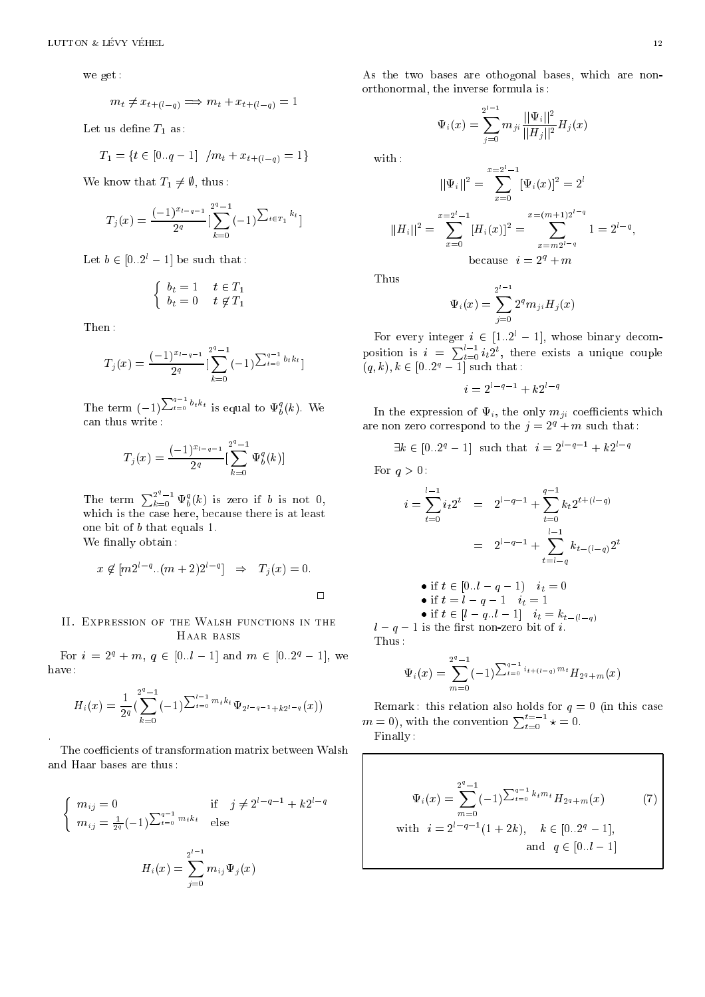we get :

$$
m_t \neq x_{t+(l-q)} \implies m_t + x_{t+(l-q)} = 1
$$

Let us define  $T_1$  as:

$$
T_1=\{t\in[0..q-1]\ \ /m_t+x_{t+(l-q)}=1\}
$$

We know that  $T_1 \neq \emptyset$ , thus:

$$
T_j(x) = \frac{(-1)^{x_{l-q-1}}}{2^q} \left[ \sum_{k=0}^{2^q-1} (-1)^{\sum_{t \in T_1} k_t} \right]
$$

Let  $b \in [0..2^l - 1]$  be such that:

$$
\begin{cases} b_t = 1 & t \in T_1 \\ b_t = 0 & t \notin T_1 \end{cases}
$$

Then :

$$
T_j(x) = \frac{(-1)^{x_{l-q-1}}}{2^q} \left[ \sum_{k=0}^{2^q-1} (-1)^{\sum_{t=0}^{q-1} b_t k_t} \right]
$$

The term (1)  $\Box q-1$  $t=0$  is equal to  $\Psi_b^*(k)$ . We can thus write :

$$
T_j(x) = \frac{(-1)^{x_{l-q-1}}}{2^q} \left[ \sum_{k=0}^{2^q-1} \Psi_b^q(k) \right]
$$

The term  $\sum_{k=0}^{2^{n}-1} \Psi_{b}^{q}(k)$  is zero if b is not 0, which is the case here, because there is at least one bit of <sup>b</sup> that equals 1.

We finally obtain:

$$
x \notin [m2^{l-q}...(m+2)2^{l-q}] \Rightarrow T_j(x) = 0.
$$

# II. Expression of the Walsh functions in the Haar basis

For  $i = 2^q + m$ ,  $q \in [0..l - 1]$  and  $m \in [0..2^q - 1]$ , we have :

$$
H_i(x) = \frac{1}{2^q} \left( \sum_{k=0}^{2^q-1} (-1)^{\sum_{t=0}^{l-1} m_t k_t} \Psi_{2^{l-q-1}+k2^{l-q}}(x) \right)
$$

The coefficients of transformation matrix between Walsh and Haar bases are thus :

$$
\begin{cases} m_{ij} = 0 & \text{if } j \neq 2^{l-q-1} + k2^{l-q} \\ m_{ij} = \frac{1}{2^q} (-1)^{\sum_{t=0}^{q-1} m_t k_t} & \text{else} \end{cases}
$$

$$
H_i(x) = \sum_{j=0}^{2^{l-1}} m_{ij} \Psi_j(x)
$$

As the two bases are othogonal bases, which are nonorthonormal, the inverse formula is :

$$
\Psi_i(x) = \sum_{j=0}^{2^{i-1}} m_{ji} \frac{||\Psi_i||^2}{||H_j||^2} H_j(x)
$$

with :

$$
||\Psi_i||^2 = \sum_{x=0}^{x=2^l-1} [\Psi_i(x)]^2 = 2^l
$$
  
\n
$$
||H_i||^2 = \sum_{x=0}^{x=2^l-1} [H_i(x)]^2 = \sum_{x=m2^{l-q}}^{x=(m+1)2^{l-q}} 1 = 2^{l-q},
$$
  
\nbecause  $i = 2^q + m$ 

Thus

$$
\Psi_i(x) = \sum_{j=0}^{2^{l-1}} 2^q m_{ji} H_j(x)
$$

For every integer  $i \in [1..2^l - 1]$ , whose binary decomposition is  $i = \sum_{t=0}^{t-1} i_t 2^t$ , there exists a unique couple  $(a, \kappa), \kappa \in [0..2^r - 1]$  such that :

$$
i = 2^{l-q-1} + k2^{l-q}
$$

In the expression of  $\Psi_i$ , the only  $m_{ji}$  coefficients which are non zero correspond to the  $j = 2^q + m$  such that :

$$
\exists k \in [0..2^q-1]
$$
 such that  $i = 2^{l-q-1} + k2^{l-q}$ 

For  $q > 0$ :

$$
i = \sum_{t=0}^{l-1} i_t 2^t = 2^{l-q-1} + \sum_{t=0}^{q-1} k_t 2^{t+(l-q)}
$$
  

$$
= 2^{l-q-1} + \sum_{t=l-q}^{l-1} k_{t-(l-q)} 2^t
$$
  
• if  $t \in [0..l-q-1)$   $i_t = 0$   
• if  $t = l-q-1$   $i_t = 1$   
• if  $t \in [l-q..l-1]$   $i_t = k_{t-(l-q)}$ 

l and the rest non-zero bit of i.e.,  $\alpha$  is the rest non-zero bit of i.e.,  $\alpha$  is the rest non-zero bit of i.e.,  $\alpha$ Thus :

$$
\Psi_i(x) = \sum_{m=0}^{2^q-1} (-1)^{\sum_{t=0}^{q-1} i_{t+(t-q)} m_t} H_{2^q+m}(x)
$$

Remark: this relation also holds for  $q = 0$  (in this case  $m = 0$ , with the convention  $\sum_{t=0}^{t=-1} \star = 0$ . Finally :

$$
\Psi_i(x) = \sum_{m=0}^{2^q - 1} (-1)^{\sum_{t=0}^{q-1} k_t m_t} H_{2^q + m}(x)
$$
\nwith  $i = 2^{l-q-1} (1 + 2k)$ ,  $k \in [0..2^q - 1]$ ,  
\nand  $q \in [0..l - 1]$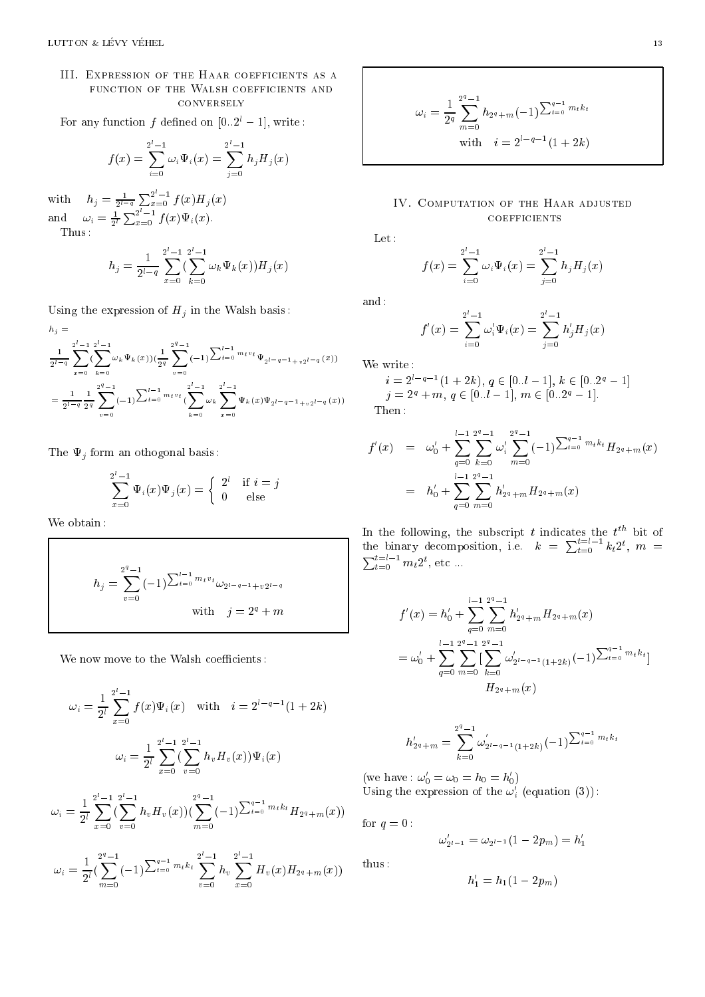# III. Expression of the Haar coefficients as a FUNCTION OF THE WALSH COEFFICIENTS AND **CONVERSELY**

For any function f defined on  $[0..2^l-1]$ , write:

$$
f(x) = \sum_{i=0}^{2^{l}-1} \omega_{i} \Psi_{i}(x) = \sum_{j=0}^{2^{l}-1} h_{j} H_{j}(x)
$$

with  $h_j = \frac{1}{2^{l-q}}$  $\sum_{x=0}^{2^{r}-1} f(x)H_j(x)$ and  $\omega_i = \frac{1}{2^l}$  $\sum_{\alpha}$   $\alpha$   $\alpha$  $x=0$  for  $\lambda$  if  $\lambda$  if  $\lambda$  if  $\lambda$ Thus :

$$
h_j = \frac{1}{2^{l-q}} \sum_{x=0}^{2^l-1} \left( \sum_{k=0}^{2^l-1} \omega_k \Psi_k(x) \right) H_j(x)
$$

Using the expression of  $H_j$  in the Walsh basis:

$$
h_{j} = \frac{1}{2^{l-q}} \sum_{x=0}^{2^{l}-1} (\sum_{k=0}^{2^{l}-1} \omega_{k} \Psi_{k}(x)) (\frac{1}{2^{q}} \sum_{v=0}^{2^{q}-1} (-1)^{\sum_{t=0}^{l-1} m_{t} v_{t}} \Psi_{2^{l-q}-1+v2^{l-q}}(x))
$$
  

$$
= \frac{1}{2^{l-q}} \frac{1}{2^{q}} \sum_{v=0}^{2^{q}-1} (-1)^{\sum_{t=0}^{l-1} m_{t} v_{t}} (\sum_{k=0}^{2^{l}-1} \omega_{k} \sum_{x=0}^{2^{l}-1} \Psi_{k}(x) \Psi_{2^{l-q}-1+v2^{l-q}}(x))
$$

The  $\Psi_j$  form an othogonal basis:

$$
\sum_{x=0}^{2^l-1} \Psi_i(x)\Psi_j(x) = \begin{cases} 2^l & \text{if } i=j\\ 0 & \text{else} \end{cases}
$$

We obtain :

$$
h_j = \sum_{v=0}^{2^q-1} (-1)^{\sum_{t=0}^{l-1} m_t v_t} \omega_{2^{l-q-1}+v2^{l-q}}
$$
  
with  $j = 2^q + m$ 

We now move to the Walsh coefficients:

$$
\omega_i = \frac{1}{2^l} \sum_{x=0}^{2^l - 1} f(x) \Psi_i(x) \quad \text{with} \quad i = 2^{l - q - 1} (1 + 2k)
$$

$$
\omega_i = \frac{1}{2^l} \sum_{x=0}^{2^l - 1} \left( \sum_{v=0}^{2^l - 1} h_v H_v(x) \right) \Psi_i(x)
$$

$$
\omega_i = \frac{1}{2^l} \sum_{x=0}^{2^l-1} \left( \sum_{v=0}^{2^l-1} h_v H_v(x) \right) \left( \sum_{m=0}^{2^q-1} (-1)^{\sum_{t=0}^{q-1} m_t k_t} H_{2^q+m}(x) \right)
$$

$$
\omega_i = \frac{1}{2^l} \left( \sum_{m=0}^{2^l-1} (-1)^{\sum_{t=0}^{q-1} m_t k_t} \sum_{v=0}^{2^l-1} h_v \sum_{x=0}^{2^l-1} H_v(x) H_{2^q+m}(x) \right)
$$

$$
\omega_i = \frac{1}{2^q} \sum_{m=0}^{2^q - 1} h_{2^q + m}(-1) \sum_{t=0}^{q-1} m_t k_t
$$
  
with  $i = 2^{l-q-1} (1 + 2k)$ 

# IV. Computation of the Haar adjusted **COEFFICIENTS**

Let :

$$
f(x) = \sum_{i=0}^{2^{l}-1} \omega_{i} \Psi_{i}(x) = \sum_{j=0}^{2^{l}-1} h_{j} H_{j}(x)
$$

and :

$$
f'(x) = \sum_{i=0}^{2^{l}-1} \omega'_{i} \Psi_{i}(x) = \sum_{j=0}^{2^{l}-1} h'_{j} H_{j}(x)
$$

We write :

$$
i = 2^{l-q-1} (1 + 2k), q \in [0..l - 1], k \in [0..2^q - 1]
$$
  
\n
$$
j = 2^q + m, q \in [0..l - 1], m \in [0..2^q - 1].
$$
  
\nThen:

$$
f'(x) = \omega'_0 + \sum_{q=0}^{l-1} \sum_{k=0}^{2^q-1} \omega'_i \sum_{m=0}^{2^q-1} (-1)^{\sum_{t=0}^{q-1} m_t k_t} H_{2^q+m}(x)
$$
  
=  $h'_0 + \sum_{q=0}^{l-1} \sum_{m=0}^{2^q-1} h'_{2^q+m} H_{2^q+m}(x)$ 

In the following, the subscript t indicates the t<sup>11</sup> bit of<br>the binary decomposition, i.e.  $k = \sum_{t=0}^{t=l-1} k_t 2^t$ ,  $m = \sum_{t=0}^{t=l-1} m_t 2^t$ , etc...

$$
f'(x) = h'_0 + \sum_{q=0}^{l-1} \sum_{m=0}^{2^q-1} h'_{2^q+m} H_{2^q+m}(x)
$$
  
=  $\omega'_0 + \sum_{q=0}^{l-1} \sum_{m=0}^{2^q-1} \left[ \sum_{k=0}^{2^q-1} \omega'_{2^{l-q-1}(1+2k)}(-1) \sum_{t=0}^{q-1} m_t k_t \right]$   
 $H_{2^q+m}(x)$ 

$$
h'_{2^{q}+m} = \sum_{k=0}^{2^{q}-1} \omega'_{2^{l-q-1}(1+2k)}(-1)^{\sum_{t=0}^{q-1} m_t k_t}
$$

(we have:  $\omega_0 = \omega_0 = n_0 = n_0$ ) Using the expression of the  $\omega_i$  (equation (3)):

$$
\omega'_{2^{l-1}}=\omega_{2^{l-1}}(1-2p_m)=h'_1
$$

thus :

for  $q=0$  :

$$
h_1' = h_1(1-2p_m)
$$

 $\overline{\phantom{a}}$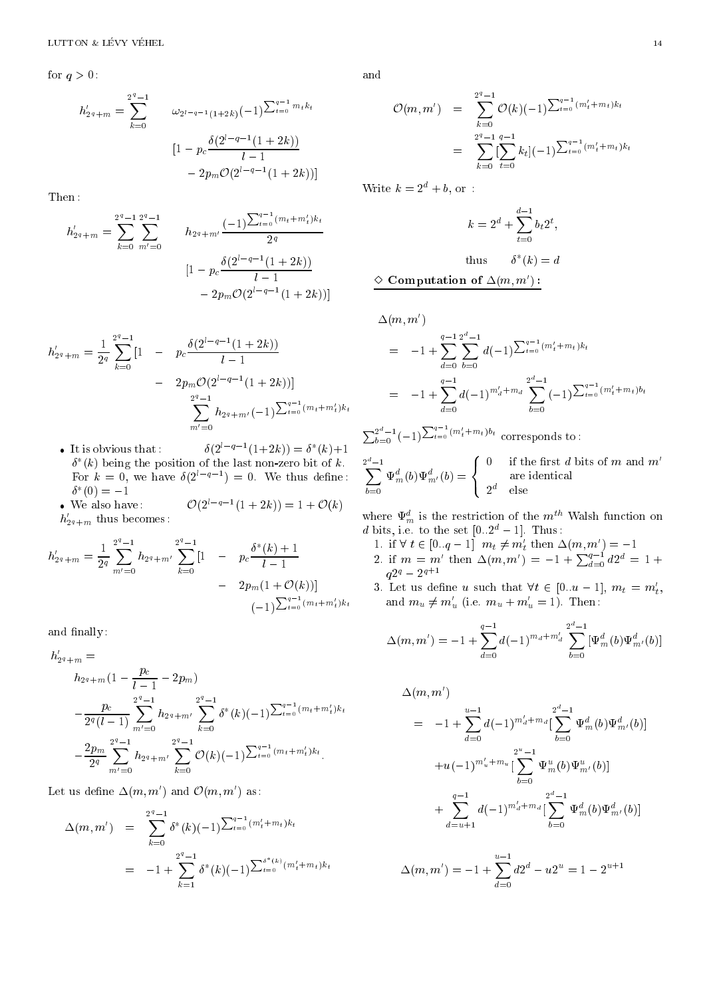for  $q > 0$ :

$$
h'_{2^{q}+m} = \sum_{k=0}^{2^{q}-1} \qquad \omega_{2^{l-q-1}(1+2k)}(-1)^{\sum_{t=0}^{q-1} m_{t}k_{t}}
$$

$$
[1-p_{c}\frac{\delta(2^{l-q-1}(1+2k))}{l-1} - 2p_{m}\mathcal{O}(2^{l-q-1}(1+2k))]
$$

Then :

$$
h'_{2^{q}+m} = \sum_{k=0}^{2^{q}-1} \sum_{m'=0}^{2^{q}-1} \qquad h_{2^{q}+m'} \frac{(-1)^{\sum_{t=0}^{q-1} (m_{t}+m'_{t})k_{t}}}{2^{q}}
$$

$$
[1-p_{c} \frac{\delta(2^{l-q-1}(1+2k))}{l-1} - 2p_{m} \mathcal{O}(2^{l-q-1}(1+2k))]
$$

$$
h'_{2^{q}+m} = \frac{1}{2^{q}} \sum_{k=0}^{2^{q}-1} \left[1 - p_{c} \frac{\delta(2^{l-q-1}(1+2k))}{l-1} - 2p_{m} \mathcal{O}(2^{l-q-1}(1+2k))\right]
$$
  

$$
- \sum_{m'=0}^{2^{q}-1} h_{2^{q}+m'}(-1) \sum_{t=0}^{q-1} {m_{t}+m'_{t}}_{k_{t}}
$$

 $\bullet$  It is obvious that :  $(1+2K)$ )  $= 0$   $(K) + 1$  $\sigma$  (k) being the position of the last non-zero bit of k. For  $\kappa = 0$ , we have  $\sigma(z - 1) = 0$ , we thus define:  $(0) = -1$ 

 $\bullet$  We also have:  $\mathcal{O}(2^{l-q-1}(1+2k)) = 1 + \mathcal{O}(k)$  $n_{2q+m}$  unus becomes :

$$
h'_{2^{q}+m} = \frac{1}{2^{q}} \sum_{m'=0}^{2^{q}-1} h_{2^{q}+m'} \sum_{k=0}^{2^{q}-1} \left[1 - p_{c} \frac{\delta^{*}(k) + 1}{l - 1} - 2p_{m}(1 + \mathcal{O}(k))\right] - 2p_{m}(1 + \mathcal{O}(k))
$$

$$
(-1)^{\sum_{t=0}^{q-1} (m_{t} + m'_{t})k_{t}}
$$

and finally:

$$
h'_{2^{q}+m} =
$$
  
\n
$$
h_{2^{q}+m}(1 - \frac{p_c}{l-1} - 2p_m)
$$
  
\n
$$
- \frac{p_c}{2^{q}(l-1)} \sum_{m'=0}^{2^{q}-1} h_{2^{q}+m'} \sum_{k=0}^{2^{q}-1} \delta^{*}(k)(-1) \sum_{t=0}^{q-1} (m_t + m'_t) k_t
$$
  
\n
$$
- \frac{2p_m}{2^{q}} \sum_{m'=0}^{2^{q}-1} h_{2^{q}+m'} \sum_{k=0}^{2^{q}-1} \mathcal{O}(k)(-1) \sum_{t=0}^{q-1} (m_t + m'_t) k_t
$$

Let us define  $\Delta(m, m)$  and  $\mathcal{O}(m, m)$  as:

$$
\Delta(m, m') = \sum_{k=0}^{2^q-1} \delta^*(k)(-1)^{\sum_{t=0}^{q-1} (m'_t + m_t)k_t}
$$
  
= -1 +  $\sum_{k=1}^{2^q-1} \delta^*(k)(-1)^{\sum_{t=0}^{\delta^*(k)} (m'_t + m_t)k_t}$ 

and

$$
\mathcal{O}(m, m') = \sum_{k=0}^{2^q-1} \mathcal{O}(k)(-1)^{\sum_{t=0}^{q-1} (m'_t + m_t)k_t}
$$
  
= 
$$
\sum_{k=0}^{2^q-1} \sum_{t=0}^{q-1} k_t |(-1)^{\sum_{t=0}^{q-1} (m'_t + m_t)k_t}
$$

Write  $k = 2^d + b$ , or :

$$
k = 2d + \sum_{t=0}^{d-1} b_t 2t,
$$
  
thus 
$$
\delta^*(k) = d
$$

 $\vee$  computation of  $\triangle(m, m)$ :

 $\Delta(m, m)$ 

 $-\frac{1}{2}$ 

$$
= -1 + \sum_{d=0}^{q-1} \sum_{b=0}^{2^d-1} d(-1)^{\sum_{t=0}^{q-1} (m'_t + m_t)k_t}
$$
  
= -1 +  $\sum_{d=0}^{q-1} d(-1)^{m'_d + m_d} \sum_{b=0}^{2^d-1} (-1)^{\sum_{t=0}^{q-1} (m'_t + m_t) b_t}$ 

 $\sum_{b=0}^{2^{n}-1}(-1)$  $\Box a-1$  $t = 0$ <sup> $(m_t + m_t)$ ot</sup> corresponds to:  $2^{\circ} - 1$ - -

 $\Psi_{m}^{(0)}(\theta)\Psi_{m'}^{(0)}=$ and the contract of the contract of :  $\sigma$  if the first a bits of m and m z" else

where  $\Psi_m$  is the restriction of the  $m^{\text{th}}$  walsh function on  $a$  dits, i.e. to the set  $[0..2^{\circ}-11^{\circ}-1]$  hus :

- 1. If  $v \in [0..q-1]$   $m_t \neq m_t$  then  $\Delta(m, m) = -1$
- 2. if  $m = m'$  then  $\Delta(m, m') = -1 + \sum_{d=0}^{q-1} d2^d = 1 +$  $q2^q - 2^{q+1}$
- 3. Let us define u such that  $\forall t \in [0..u-1], m_t = m_t$ , and  $m_u \neq m_u$  (i.e.  $m_u + m_u = 1$ ). Then:

$$
\Delta(m, m') = -1 + \sum_{d=0}^{q-1} d(-1)^{m_d + m'_d} \sum_{b=0}^{2^d - 1} [\Psi_m^d(b) \Psi_{m'}^d(b)]
$$

$$
\Delta(m, m') = -1 + \sum_{d=0}^{u-1} d(-1)^{m'_d + m_d} \left[ \sum_{b=0}^{2^d - 1} \Psi_m^d(b) \Psi_{m'}^d(b) \right]
$$
  
+u(-1)^{m'\_u + m\_u} \left[ \sum\_{b=0}^{2^u - 1} \Psi\_m^u(b) \Psi\_{m'}^u(b) \right]  
+ \sum\_{d=u+1}^{q-1} d(-1)^{m'\_d + m\_d} \left[ \sum\_{b=0}^{2^d - 1} \Psi\_m^d(b) \Psi\_{m'}^d(b) \right]

$$
\Delta(m, m') = -1 + \sum_{d=0}^{u-1} d2^d - u2^u = 1 - 2^{u+1}
$$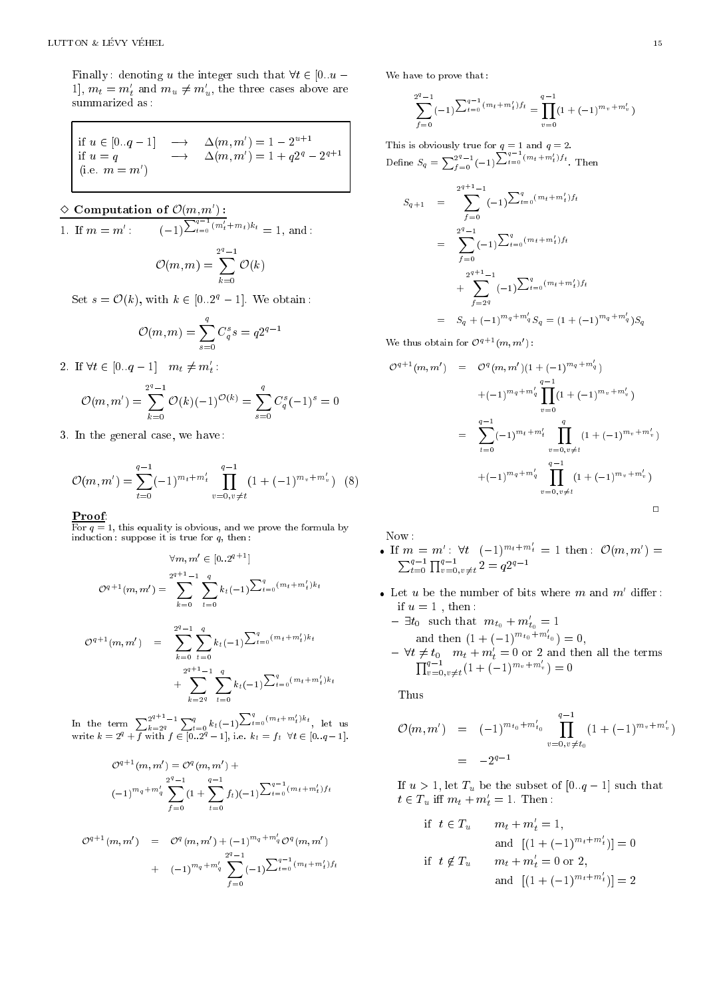Finally: denoting u the integer such that  $\forall t \in [0..u-1]$  $1, m_t = m_t$  and  $m_u \neq m_u$ , the three cases above are summarized as :

if 
$$
u \in [0..q-1]
$$
  $\longrightarrow$   $\Delta(m,m') = 1 - 2^{u+1}$   
if  $u = q$   $\longrightarrow$   $\Delta(m,m') = 1 + q2^q - 2^{q+1}$   
(i.e.  $m = m'$ )

### $\vee$  Computation of  $O(m, m)$ :

1. If  $m = m$  :  $(-1)$  $\Box a-1$  $t_{t=0}$ <sup> $(m_t+m_t)\kappa_t = 1$ , and:</sup> O(m; m) =  $2^4 - 1$  $\sim$   $\sim$   $\sim$   $\sim$ 

Set  $s = \mathcal{O}(k)$ , with  $k \in [0..2^q - 1]$ . We obtain:

$$
\mathcal{O}(m, m) = \sum_{s=0}^{q} C_q^s s = q 2^{q-1}
$$

2. If  $\forall t \in [0..q = 1]$   $m_t \neq m_t$ :

$$
\mathcal{O}(m, m') = \sum_{k=0}^{2^q - 1} \mathcal{O}(k)(-1)^{\mathcal{O}(k)} = \sum_{s=0}^q C_q^s (-1)^s = 0
$$

3. In the general case, we have :

$$
\mathcal{O}(m, m') = \sum_{t=0}^{q-1} (-1)^{m_t + m'_t} \prod_{v=0, v \neq t}^{q-1} (1 + (-1)^{m_v + m'_v}) \quad (8)
$$

#### Proof:

For  $q = 1$ , this equality is obvious, and we prove the formula by induction : suppose it is true for  $q$ , then :

$$
\forall m, m' \in [0..2^{q+1}]
$$
  

$$
\mathcal{O}^{q+1}(m, m') = \sum_{k=0}^{2^{q+1}-1} \sum_{t=0}^{q} k_t (-1)^{\sum_{t=0}^{q} (m_t + m'_t)k_t}
$$
  

$$
\mathcal{O}^{q+1}(m, m') = \sum_{k=0}^{2^{q}-1} \sum_{t=0}^{q} k_t (-1)^{\sum_{t=0}^{q} (m_t + m'_t)k_t}
$$
  

$$
+ \sum_{k=2^{q+1}-1}^{2^{q+1}-1} \sum_{t=0}^{q} k_t (-1)^{\sum_{t=0}^{q} (m_t + m'_t)k_t}
$$

In the term  $\sum_{k=2q}^{2^{2n}-1}$  $\sum_{t=0}^{q} k_t(-1)$  $\nabla$ In the term  $\sum_{t=0}^{2^{q+1}-1} \sum_{t=0}^{q} k_t(-1) \frac{\sum_{t=0}^{q} (m_t+m_t)\kappa_t}{\sum_{t=0}^{q} k_t(-1)}$ , i.e.  $k_t = f_t$   $\forall t \in [0..q-1].$ 

$$
\mathcal{O}^{q+1}(m, m') = \mathcal{O}^q(m, m') +
$$
  

$$
(-1)^{m_q + m'_q} \sum_{f=0}^{2^q - 1} (1 + \sum_{t=0}^{q-1} f_t)(-1) \sum_{t=0}^{q-1} (m_t + m'_t) f_t
$$

$$
\mathcal{O}^{q+1}(m, m') = \mathcal{O}^{q}(m, m') + (-1)^{m_q + m'_q} \mathcal{O}^{q}(m, m')
$$
  
+ 
$$
(-1)^{m_q + m'_q} \sum_{f=0}^{2^q - 1} (-1)^{\sum_{t=0}^{q-1} (m_t + m'_t) f_t}
$$

We have to prove that :

$$
\sum_{f=0}^{2^q-1} (-1)^{\sum_{t=0}^{q-1} (m_t + m'_t) f_t} = \prod_{v=0}^{q-1} (1 + (-1)^{m_v + m'_v})
$$

Define  $S_q = \sum_{f=0}^{2^q-1} (-1)^{\sum_{t=0}^{q-1} (m_t + m'_t) f_t}$ .  $\sum_{q=1}$  $t=0$ <sup> $(m_t+m_t)$ t</sup>. Then

$$
S_{q+1} = \sum_{f=0}^{2^{q+1}-1} (-1)^{\sum_{t=0}^{q} (m_t + m'_t) f_t}
$$
  
\n
$$
= \sum_{f=0}^{2^{q}-1} (-1)^{\sum_{t=0}^{q} (m_t + m'_t) f_t}
$$
  
\n
$$
+ \sum_{f=2^{q}}^{2^{q+1}-1} (-1)^{\sum_{t=0}^{q} (m_t + m'_t) f_t}
$$
  
\n
$$
= S_q + (-1)^{m_q + m'_q} S_q = (1 + (-1)^{m_q + m'_q}) S_q
$$

we thus obtain for  $O_{\mathcal{F}}$  (m, m):

$$
\mathcal{O}^{q+1}(m, m') = \mathcal{O}^{q}(m, m')(1 + (-1)^{m_q + m'_q})
$$
  
+  $(-1)^{m_q + m'_q} \prod_{v=0}^{q-1} (1 + (-1)^{m_v + m'_v})$   
= 
$$
\sum_{t=0}^{q-1} (-1)^{m_t + m'_t} \prod_{v=0, v \neq t}^{q} (1 + (-1)^{m_v + m'_v})
$$
  
+  $(-1)^{m_q + m'_q} \prod_{v=0, v \neq t}^{q-1} (1 + (-1)^{m_v + m'_v})$ 

Now:

- If  $m = m'$ :  $\forall t \quad (-1)^{m_t+m_t} = 1$  then:  $\mathcal{O}(m, m') =$  $\Box a - 1$  $\prod_{v=0}^{q-1} u \neq t^2 = q 2^{q-1}$
- $\bullet$  Let  $u$  be the number of bits where  $m$  and  $m$  allier: if  $u = 1$ , then:

 ${ }^{+}\exists t_0$  such that  $m_{t_0} + m_{t_0} = 1$ <br>
and then  $(1 + (-1)^{m_{t_0} + m'_{t_0}}) = 0$ ,  $= v t \neq t_0$   $m_t + m_t = 0$  or 2 and then all the terms  $v_{v=0,v\neq t}^{q-1}(1+(-1)^{m_v+m_v})=0$ 

Thus

$$
\mathcal{O}(m, m') = (-1)^{m_{t_0} + m'_{t_0}} \prod_{v=0, v \neq t_0}^{q-1} (1 + (-1)^{m_v + m'_v})
$$
  
= -2<sup>q-1</sup>

If  $u > 1$ , let  $T_u$  be the subset of  $[0..q-1]$  such that  $t \in T_u$  in  $m_t + m_t = 1$ . Then:

if 
$$
t \in T_u
$$
  $m_t + m'_t = 1$ ,  
and  $[(1 + (-1)^{m_t + m'_t})] = 0$   
if  $t \notin T_u$   $m_t + m'_t = 0$  or 2,  
and  $[(1 + (-1)^{m_t + m'_t})] = 2$